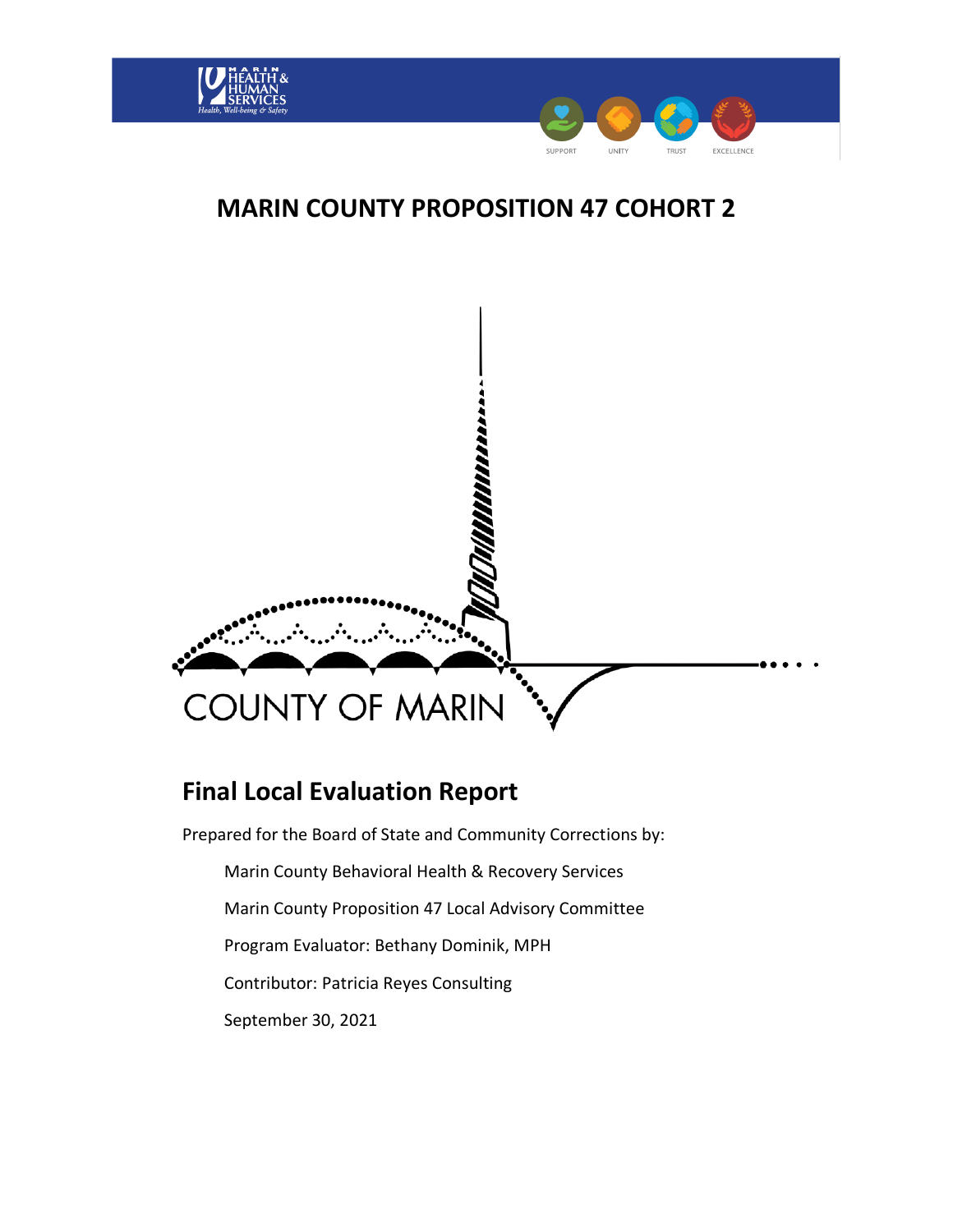

# **MARIN COUNTY PROPOSITION 47 COHORT 2**



# **Final Local Evaluation Report**

Prepared for the Board of State and Community Corrections by: Marin County Behavioral Health & Recovery Services Marin County Proposition 47 Local Advisory Committee Program Evaluator: Bethany Dominik, MPH Contributor: Patricia Reyes Consulting September 30, 2021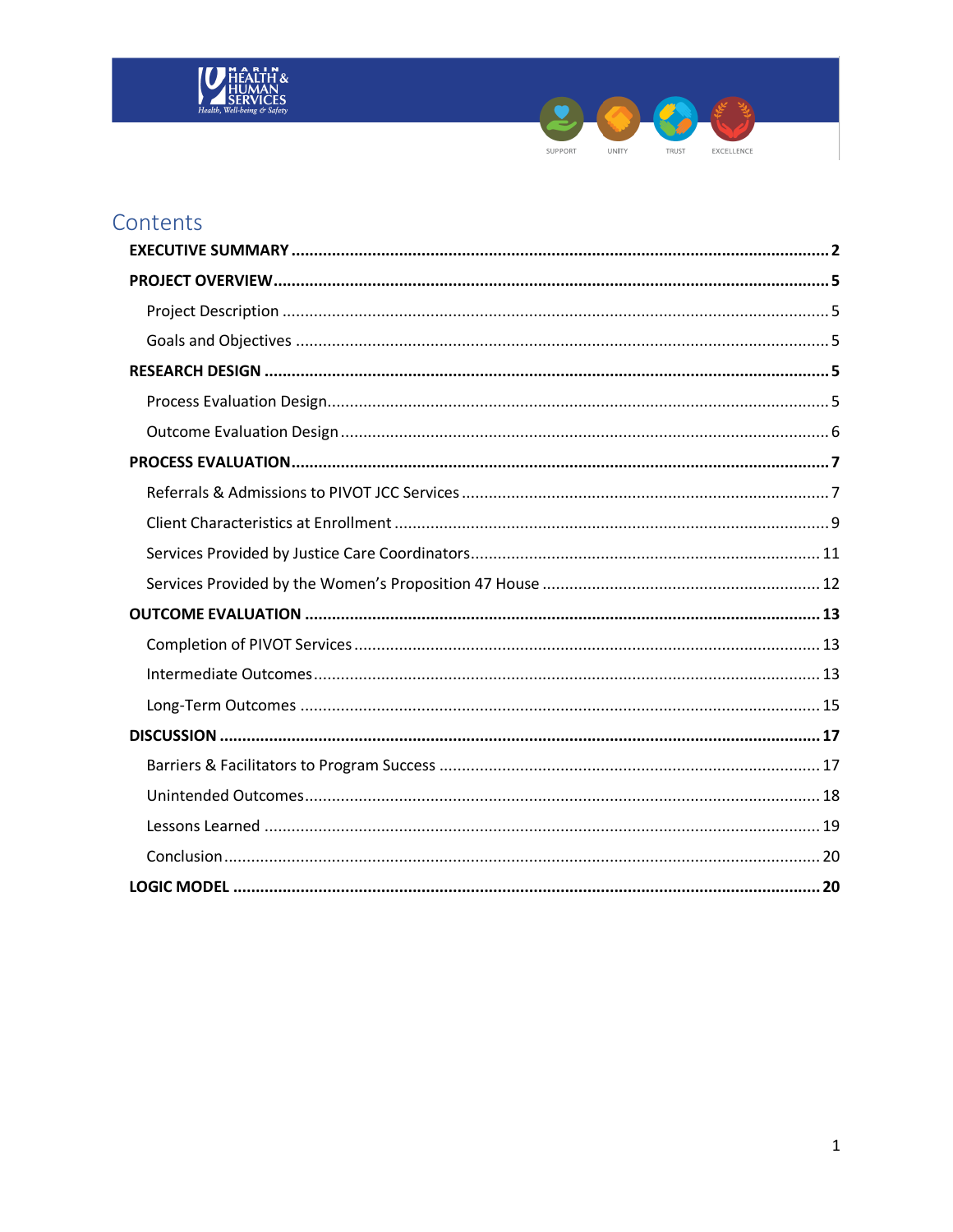



# Contents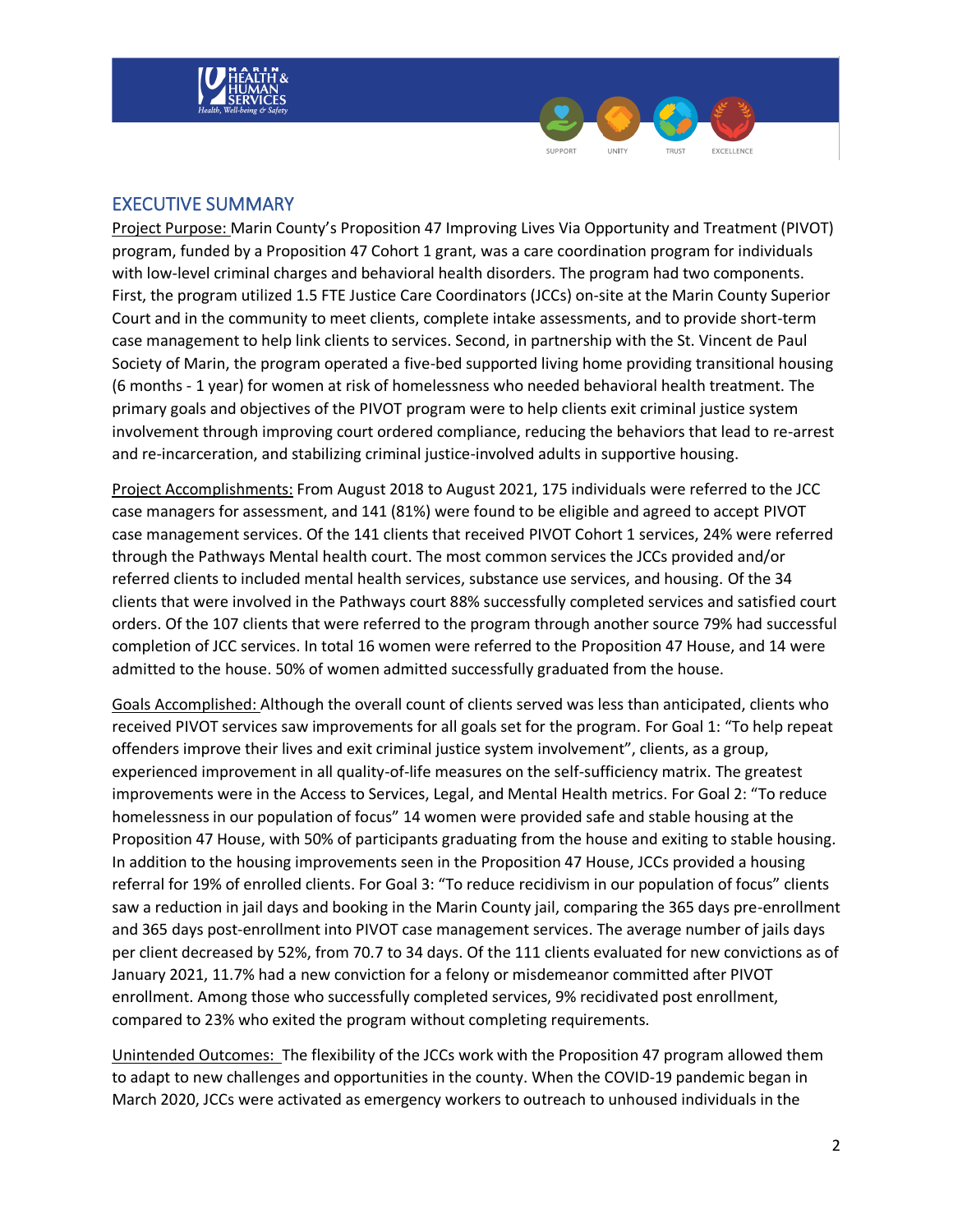



## <span id="page-2-0"></span>EXECUTIVE SUMMARY

Project Purpose: Marin County's Proposition 47 Improving Lives Via Opportunity and Treatment (PIVOT) program, funded by a Proposition 47 Cohort 1 grant, was a care coordination program for individuals with low-level criminal charges and behavioral health disorders. The program had two components. First, the program utilized 1.5 FTE Justice Care Coordinators (JCCs) on-site at the Marin County Superior Court and in the community to meet clients, complete intake assessments, and to provide short-term case management to help link clients to services. Second, in partnership with the St. Vincent de Paul Society of Marin, the program operated a five-bed supported living home providing transitional housing (6 months - 1 year) for women at risk of homelessness who needed behavioral health treatment. The primary goals and objectives of the PIVOT program were to help clients exit criminal justice system involvement through improving court ordered compliance, reducing the behaviors that lead to re-arrest and re-incarceration, and stabilizing criminal justice-involved adults in supportive housing.

Project Accomplishments: From August 2018 to August 2021, 175 individuals were referred to the JCC case managers for assessment, and 141 (81%) were found to be eligible and agreed to accept PIVOT case management services. Of the 141 clients that received PIVOT Cohort 1 services, 24% were referred through the Pathways Mental health court. The most common services the JCCs provided and/or referred clients to included mental health services, substance use services, and housing. Of the 34 clients that were involved in the Pathways court 88% successfully completed services and satisfied court orders. Of the 107 clients that were referred to the program through another source 79% had successful completion of JCC services. In total 16 women were referred to the Proposition 47 House, and 14 were admitted to the house. 50% of women admitted successfully graduated from the house.

Goals Accomplished: Although the overall count of clients served was less than anticipated, clients who received PIVOT services saw improvements for all goals set for the program. For Goal 1: "To help repeat offenders improve their lives and exit criminal justice system involvement", clients, as a group, experienced improvement in all quality-of-life measures on the self-sufficiency matrix. The greatest improvements were in the Access to Services, Legal, and Mental Health metrics. For Goal 2: "To reduce homelessness in our population of focus" 14 women were provided safe and stable housing at the Proposition 47 House, with 50% of participants graduating from the house and exiting to stable housing. In addition to the housing improvements seen in the Proposition 47 House, JCCs provided a housing referral for 19% of enrolled clients. For Goal 3: "To reduce recidivism in our population of focus" clients saw a reduction in jail days and booking in the Marin County jail, comparing the 365 days pre-enrollment and 365 days post-enrollment into PIVOT case management services. The average number of jails days per client decreased by 52%, from 70.7 to 34 days. Of the 111 clients evaluated for new convictions as of January 2021, 11.7% had a new conviction for a felony or misdemeanor committed after PIVOT enrollment. Among those who successfully completed services, 9% recidivated post enrollment, compared to 23% who exited the program without completing requirements.

Unintended Outcomes: The flexibility of the JCCs work with the Proposition 47 program allowed them to adapt to new challenges and opportunities in the county. When the COVID-19 pandemic began in March 2020, JCCs were activated as emergency workers to outreach to unhoused individuals in the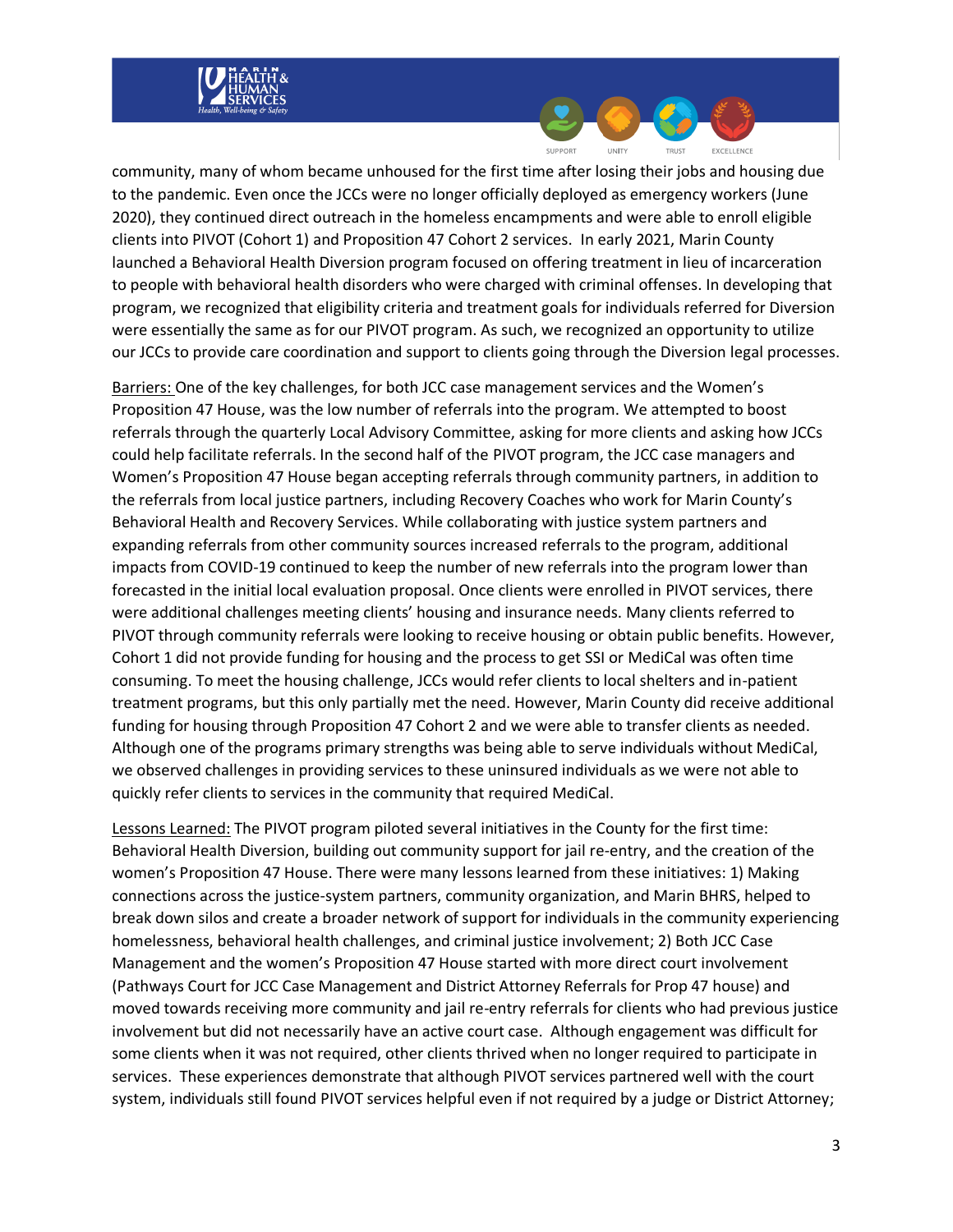

community, many of whom became unhoused for the first time after losing their jobs and housing due to the pandemic. Even once the JCCs were no longer officially deployed as emergency workers (June 2020), they continued direct outreach in the homeless encampments and were able to enroll eligible clients into PIVOT (Cohort 1) and Proposition 47 Cohort 2 services. In early 2021, Marin County launched a Behavioral Health Diversion program focused on offering treatment in lieu of incarceration to people with behavioral health disorders who were charged with criminal offenses. In developing that program, we recognized that eligibility criteria and treatment goals for individuals referred for Diversion were essentially the same as for our PIVOT program. As such, we recognized an opportunity to utilize our JCCs to provide care coordination and support to clients going through the Diversion legal processes.

UNITY

SUPPORT

TRUST

EXCELLENCE

Barriers: One of the key challenges, for both JCC case management services and the Women's Proposition 47 House, was the low number of referrals into the program. We attempted to boost referrals through the quarterly Local Advisory Committee, asking for more clients and asking how JCCs could help facilitate referrals. In the second half of the PIVOT program, the JCC case managers and Women's Proposition 47 House began accepting referrals through community partners, in addition to the referrals from local justice partners, including Recovery Coaches who work for Marin County's Behavioral Health and Recovery Services. While collaborating with justice system partners and expanding referrals from other community sources increased referrals to the program, additional impacts from COVID-19 continued to keep the number of new referrals into the program lower than forecasted in the initial local evaluation proposal. Once clients were enrolled in PIVOT services, there were additional challenges meeting clients' housing and insurance needs. Many clients referred to PIVOT through community referrals were looking to receive housing or obtain public benefits. However, Cohort 1 did not provide funding for housing and the process to get SSI or MediCal was often time consuming. To meet the housing challenge, JCCs would refer clients to local shelters and in-patient treatment programs, but this only partially met the need. However, Marin County did receive additional funding for housing through Proposition 47 Cohort 2 and we were able to transfer clients as needed. Although one of the programs primary strengths was being able to serve individuals without MediCal, we observed challenges in providing services to these uninsured individuals as we were not able to quickly refer clients to services in the community that required MediCal.

Lessons Learned: The PIVOT program piloted several initiatives in the County for the first time: Behavioral Health Diversion, building out community support for jail re-entry, and the creation of the women's Proposition 47 House. There were many lessons learned from these initiatives: 1) Making connections across the justice-system partners, community organization, and Marin BHRS, helped to break down silos and create a broader network of support for individuals in the community experiencing homelessness, behavioral health challenges, and criminal justice involvement; 2) Both JCC Case Management and the women's Proposition 47 House started with more direct court involvement (Pathways Court for JCC Case Management and District Attorney Referrals for Prop 47 house) and moved towards receiving more community and jail re-entry referrals for clients who had previous justice involvement but did not necessarily have an active court case. Although engagement was difficult for some clients when it was not required, other clients thrived when no longer required to participate in services. These experiences demonstrate that although PIVOT services partnered well with the court system, individuals still found PIVOT services helpful even if not required by a judge or District Attorney;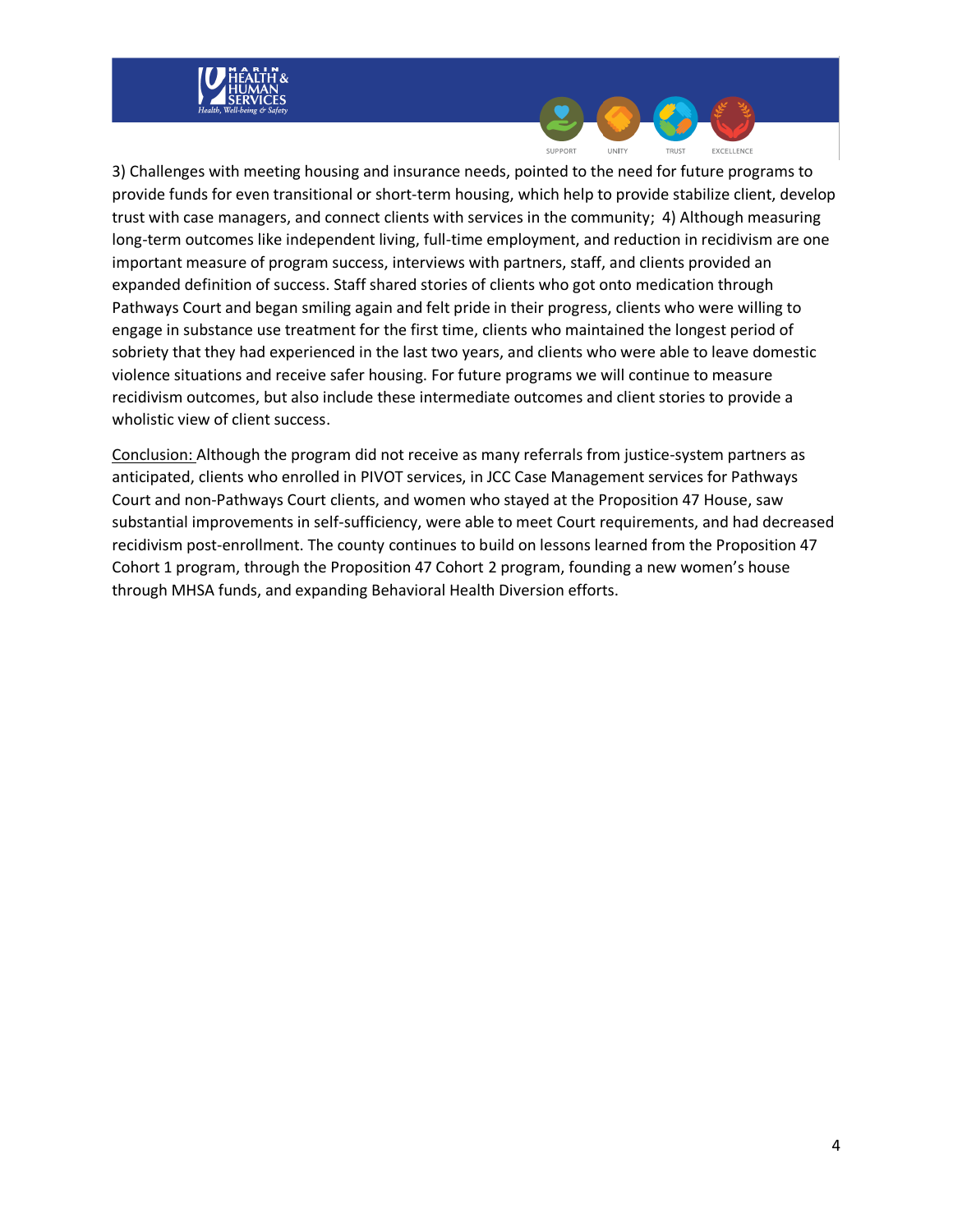

3) Challenges with meeting housing and insurance needs, pointed to the need for future programs to provide funds for even transitional or short-term housing, which help to provide stabilize client, develop trust with case managers, and connect clients with services in the community; 4) Although measuring long-term outcomes like independent living, full-time employment, and reduction in recidivism are one important measure of program success, interviews with partners, staff, and clients provided an expanded definition of success. Staff shared stories of clients who got onto medication through Pathways Court and began smiling again and felt pride in their progress, clients who were willing to engage in substance use treatment for the first time, clients who maintained the longest period of sobriety that they had experienced in the last two years, and clients who were able to leave domestic violence situations and receive safer housing. For future programs we will continue to measure recidivism outcomes, but also include these intermediate outcomes and client stories to provide a wholistic view of client success.

UNITY

SUPPORT

TRUST

EXCELLENCE

Conclusion: Although the program did not receive as many referrals from justice-system partners as anticipated, clients who enrolled in PIVOT services, in JCC Case Management services for Pathways Court and non-Pathways Court clients, and women who stayed at the Proposition 47 House, saw substantial improvements in self-sufficiency, were able to meet Court requirements, and had decreased recidivism post-enrollment. The county continues to build on lessons learned from the Proposition 47 Cohort 1 program, through the Proposition 47 Cohort 2 program, founding a new women's house through MHSA funds, and expanding Behavioral Health Diversion efforts.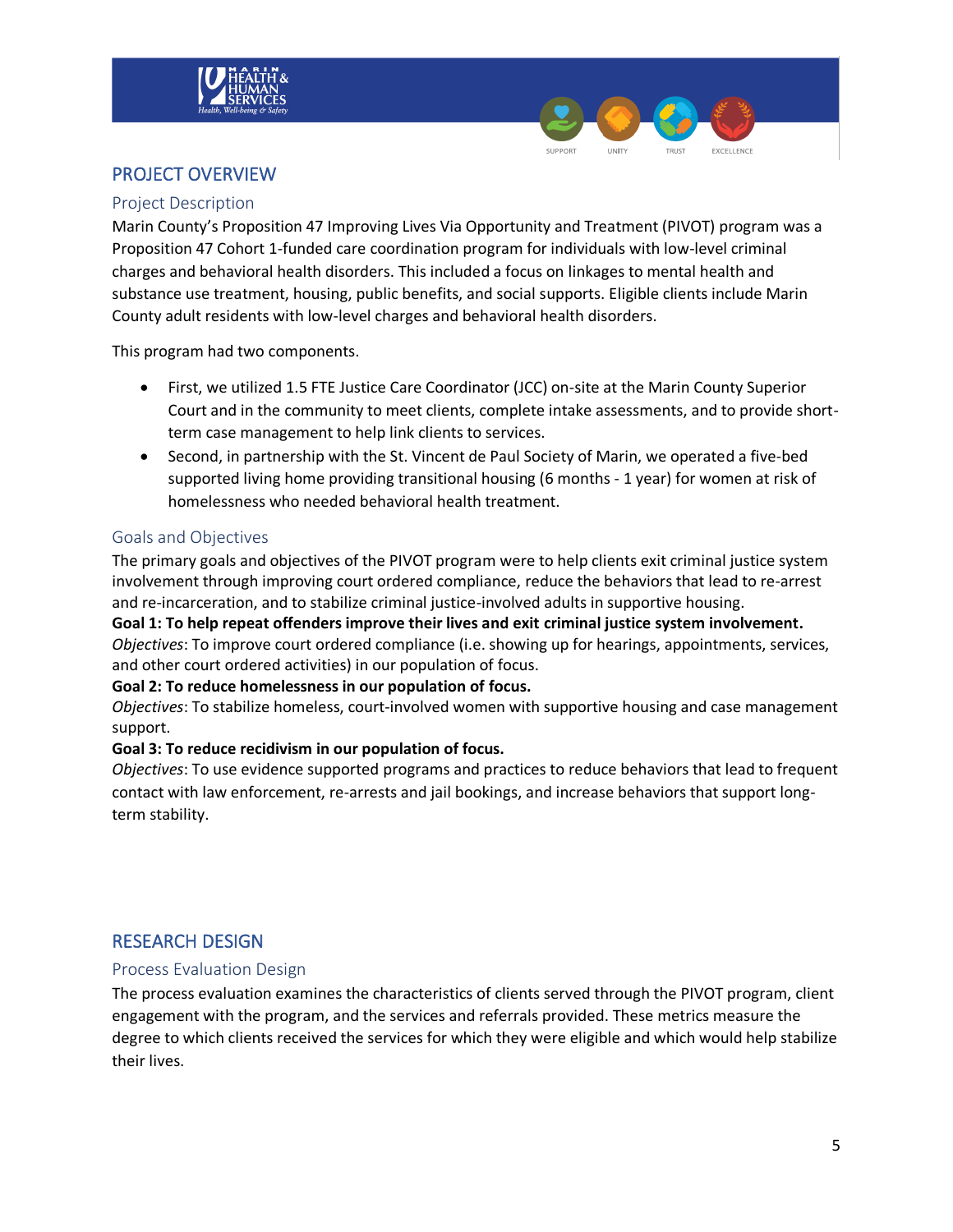

## <span id="page-5-0"></span>PROJECT OVERVIEW

#### <span id="page-5-1"></span>Project Description

Marin County's Proposition 47 Improving Lives Via Opportunity and Treatment (PIVOT) program was a Proposition 47 Cohort 1-funded care coordination program for individuals with low-level criminal charges and behavioral health disorders. This included a focus on linkages to mental health and substance use treatment, housing, public benefits, and social supports. Eligible clients include Marin County adult residents with low-level charges and behavioral health disorders.

UNITY

**TRUST** 

EXCELLENCE

This program had two components.

- First, we utilized 1.5 FTE Justice Care Coordinator (JCC) on-site at the Marin County Superior Court and in the community to meet clients, complete intake assessments, and to provide shortterm case management to help link clients to services.
- Second, in partnership with the St. Vincent de Paul Society of Marin, we operated a five-bed supported living home providing transitional housing (6 months - 1 year) for women at risk of homelessness who needed behavioral health treatment.

#### <span id="page-5-2"></span>Goals and Objectives

The primary goals and objectives of the PIVOT program were to help clients exit criminal justice system involvement through improving court ordered compliance, reduce the behaviors that lead to re-arrest and re-incarceration, and to stabilize criminal justice-involved adults in supportive housing.

**Goal 1: To help repeat offenders improve their lives and exit criminal justice system involvement.** *Objectives*: To improve court ordered compliance (i.e. showing up for hearings, appointments, services, and other court ordered activities) in our population of focus.

#### **Goal 2: To reduce homelessness in our population of focus.**

*Objectives*: To stabilize homeless, court-involved women with supportive housing and case management support.

#### **Goal 3: To reduce recidivism in our population of focus.**

<span id="page-5-3"></span>*Objectives*: To use evidence supported programs and practices to reduce behaviors that lead to frequent contact with law enforcement, re-arrests and jail bookings, and increase behaviors that support longterm stability.

## RESEARCH DESIGN

#### <span id="page-5-4"></span>Process Evaluation Design

The process evaluation examines the characteristics of clients served through the PIVOT program, client engagement with the program, and the services and referrals provided. These metrics measure the degree to which clients received the services for which they were eligible and which would help stabilize their lives.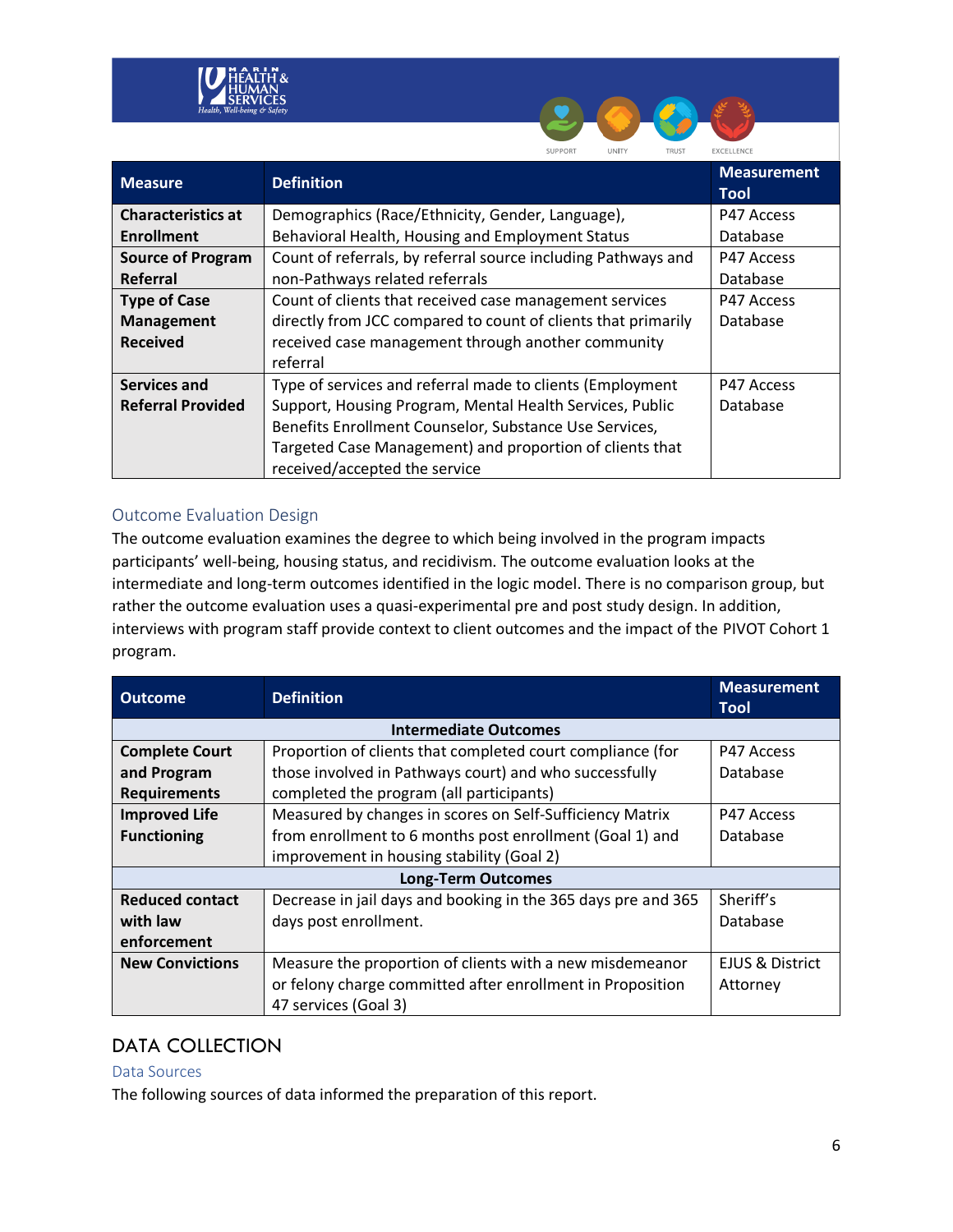



## <span id="page-6-0"></span>Outcome Evaluation Design

The outcome evaluation examines the degree to which being involved in the program impacts participants' well-being, housing status, and recidivism. The outcome evaluation looks at the intermediate and long-term outcomes identified in the logic model. There is no comparison group, but rather the outcome evaluation uses a quasi-experimental pre and post study design. In addition, interviews with program staff provide context to client outcomes and the impact of the PIVOT Cohort 1 program.

| <b>Outcome</b>         | <b>Definition</b>                                                    |            |  |  |
|------------------------|----------------------------------------------------------------------|------------|--|--|
|                        | <b>Intermediate Outcomes</b>                                         |            |  |  |
| <b>Complete Court</b>  | Proportion of clients that completed court compliance (for           | P47 Access |  |  |
| and Program            | those involved in Pathways court) and who successfully               | Database   |  |  |
| <b>Requirements</b>    | completed the program (all participants)                             |            |  |  |
| <b>Improved Life</b>   | Measured by changes in scores on Self-Sufficiency Matrix             | P47 Access |  |  |
| <b>Functioning</b>     | from enrollment to 6 months post enrollment (Goal 1) and<br>Database |            |  |  |
|                        |                                                                      |            |  |  |
|                        | <b>Long-Term Outcomes</b>                                            |            |  |  |
| <b>Reduced contact</b> | Decrease in jail days and booking in the 365 days pre and 365        | Sheriff's  |  |  |
| with law               | days post enrollment.                                                | Database   |  |  |
| enforcement            |                                                                      |            |  |  |
| <b>New Convictions</b> | Measure the proportion of clients with a new misdemeanor             |            |  |  |
|                        | or felony charge committed after enrollment in Proposition           |            |  |  |
|                        | 47 services (Goal 3)                                                 |            |  |  |

# DATA COLLECTION

Data Sources

The following sources of data informed the preparation of this report.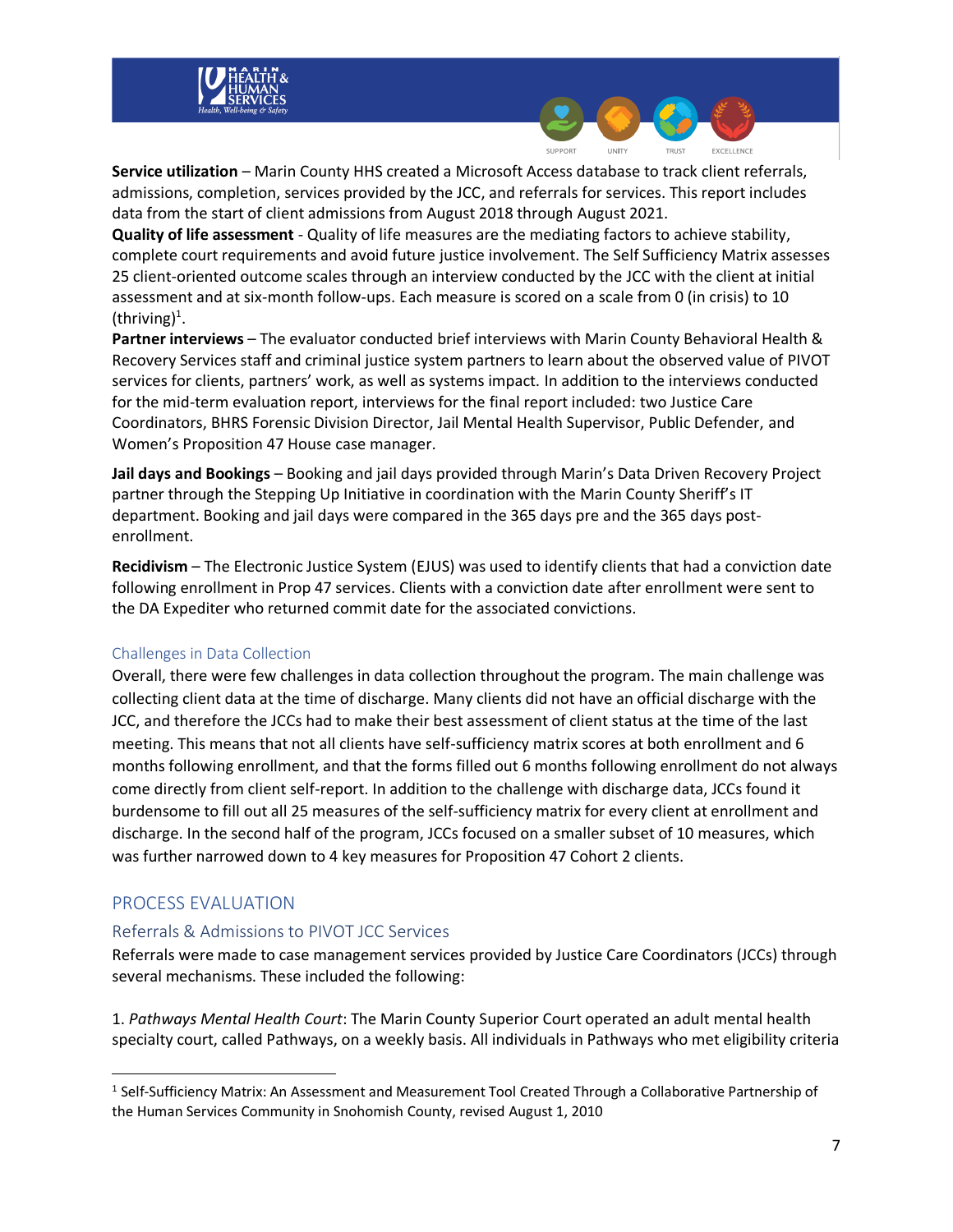

**Service utilization** – Marin County HHS created a Microsoft Access database to track client referrals, admissions, completion, services provided by the JCC, and referrals for services. This report includes data from the start of client admissions from August 2018 through August 2021.

EXCELLENCE

TRUST

UNITY

**Quality of life assessment** - Quality of life measures are the mediating factors to achieve stability, complete court requirements and avoid future justice involvement. The Self Sufficiency Matrix assesses 25 client-oriented outcome scales through an interview conducted by the JCC with the client at initial assessment and at six-month follow-ups. Each measure is scored on a scale from 0 (in crisis) to 10  $(thriving)^{1}.$ 

**Partner interviews** – The evaluator conducted brief interviews with Marin County Behavioral Health & Recovery Services staff and criminal justice system partners to learn about the observed value of PIVOT services for clients, partners' work, as well as systems impact. In addition to the interviews conducted for the mid-term evaluation report, interviews for the final report included: two Justice Care Coordinators, BHRS Forensic Division Director, Jail Mental Health Supervisor, Public Defender, and Women's Proposition 47 House case manager.

**Jail days and Bookings** – Booking and jail days provided through Marin's Data Driven Recovery Project partner through the Stepping Up Initiative in coordination with the Marin County Sheriff's IT department. Booking and jail days were compared in the 365 days pre and the 365 days postenrollment.

**Recidivism** – The Electronic Justice System (EJUS) was used to identify clients that had a conviction date following enrollment in Prop 47 services. Clients with a conviction date after enrollment were sent to the DA Expediter who returned commit date for the associated convictions.

#### Challenges in Data Collection

Overall, there were few challenges in data collection throughout the program. The main challenge was collecting client data at the time of discharge. Many clients did not have an official discharge with the JCC, and therefore the JCCs had to make their best assessment of client status at the time of the last meeting. This means that not all clients have self-sufficiency matrix scores at both enrollment and 6 months following enrollment, and that the forms filled out 6 months following enrollment do not always come directly from client self-report. In addition to the challenge with discharge data, JCCs found it burdensome to fill out all 25 measures of the self-sufficiency matrix for every client at enrollment and discharge. In the second half of the program, JCCs focused on a smaller subset of 10 measures, which was further narrowed down to 4 key measures for Proposition 47 Cohort 2 clients.

## <span id="page-7-0"></span>PROCESS EVALUATION

## <span id="page-7-1"></span>Referrals & Admissions to PIVOT JCC Services

Referrals were made to case management services provided by Justice Care Coordinators (JCCs) through several mechanisms. These included the following:

1. *Pathways Mental Health Court*: The Marin County Superior Court operated an adult mental health specialty court, called Pathways, on a weekly basis. All individuals in Pathways who met eligibility criteria

<sup>&</sup>lt;sup>1</sup> Self-Sufficiency Matrix: An Assessment and Measurement Tool Created Through a Collaborative Partnership of the Human Services Community in Snohomish County, revised August 1, 2010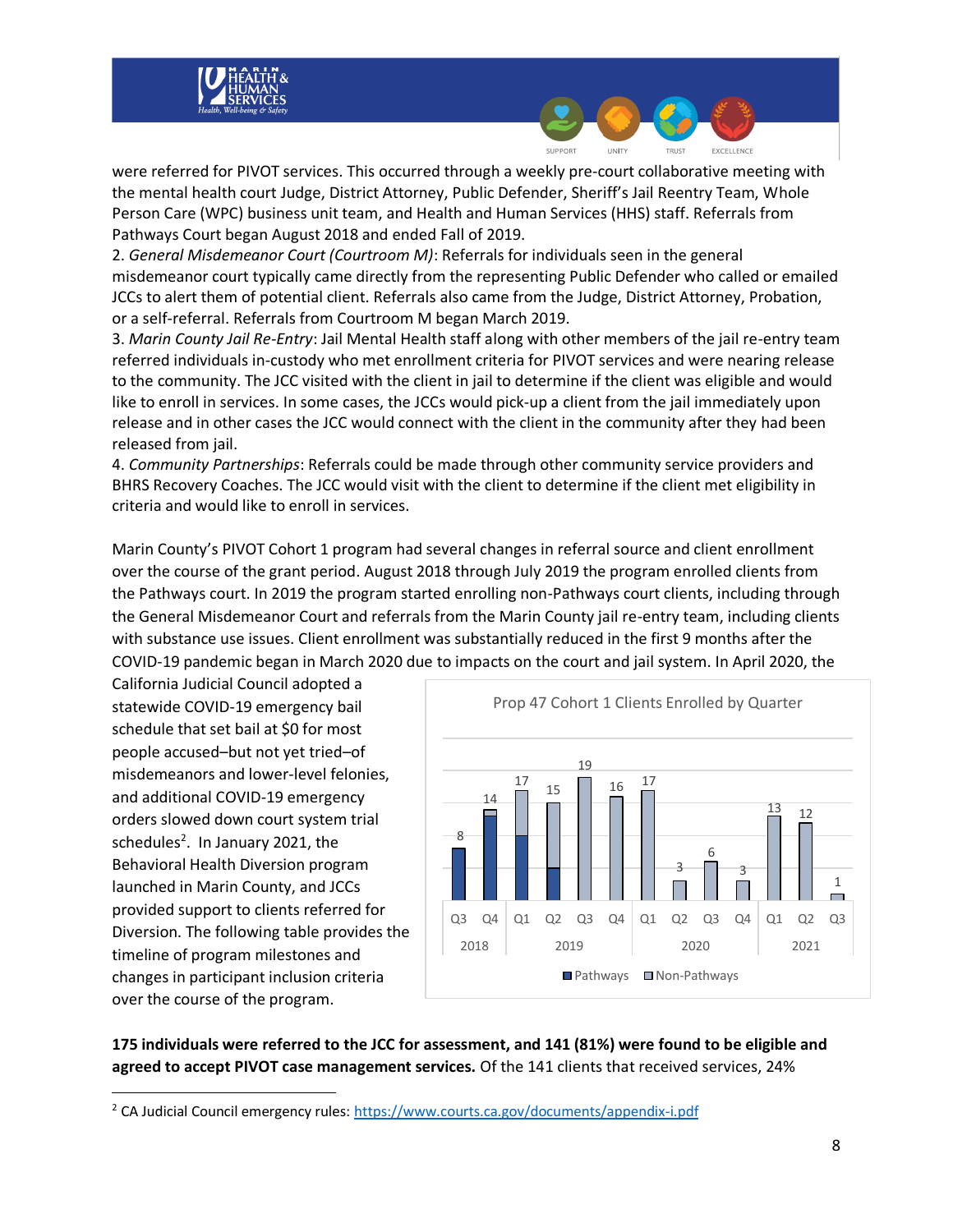

were referred for PIVOT services. This occurred through a weekly pre-court collaborative meeting with the mental health court Judge, District Attorney, Public Defender, Sheriff's Jail Reentry Team, Whole Person Care (WPC) business unit team, and Health and Human Services (HHS) staff. Referrals from Pathways Court began August 2018 and ended Fall of 2019.

UNITY

SUPPORT

EXCELLENCE

**TRUST** 

2. *General Misdemeanor Court (Courtroom M)*: Referrals for individuals seen in the general misdemeanor court typically came directly from the representing Public Defender who called or emailed JCCs to alert them of potential client. Referrals also came from the Judge, District Attorney, Probation, or a self-referral. Referrals from Courtroom M began March 2019.

3. *Marin County Jail Re-Entry*: Jail Mental Health staff along with other members of the jail re-entry team referred individuals in-custody who met enrollment criteria for PIVOT services and were nearing release to the community. The JCC visited with the client in jail to determine if the client was eligible and would like to enroll in services. In some cases, the JCCs would pick-up a client from the jail immediately upon release and in other cases the JCC would connect with the client in the community after they had been released from jail.

4. *Community Partnerships*: Referrals could be made through other community service providers and BHRS Recovery Coaches. The JCC would visit with the client to determine if the client met eligibility in criteria and would like to enroll in services.

Marin County's PIVOT Cohort 1 program had several changes in referral source and client enrollment over the course of the grant period. August 2018 through July 2019 the program enrolled clients from the Pathways court. In 2019 the program started enrolling non-Pathways court clients, including through the General Misdemeanor Court and referrals from the Marin County jail re-entry team, including clients with substance use issues. Client enrollment was substantially reduced in the first 9 months after the COVID-19 pandemic began in March 2020 due to impacts on the court and jail system. In April 2020, the

California Judicial Council adopted a statewide COVID-19 emergency bail schedule that set bail at \$0 for most people accused–but not yet tried–of misdemeanors and lower-level felonies, and additional COVID-19 emergency orders slowed down court system trial schedules<sup>2</sup>. In January 2021, the Behavioral Health Diversion program launched in Marin County, and JCCs provided support to clients referred for Diversion. The following table provides the timeline of program milestones and changes in participant inclusion criteria over the course of the program.



**175 individuals were referred to the JCC for assessment, and 141 (81%) were found to be eligible and agreed to accept PIVOT case management services.** Of the 141 clients that received services, 24%

<sup>&</sup>lt;sup>2</sup> CA Judicial Council emergency rules[: https://www.courts.ca.gov/documents/appendix-i.pdf](https://www.courts.ca.gov/documents/appendix-i.pdf)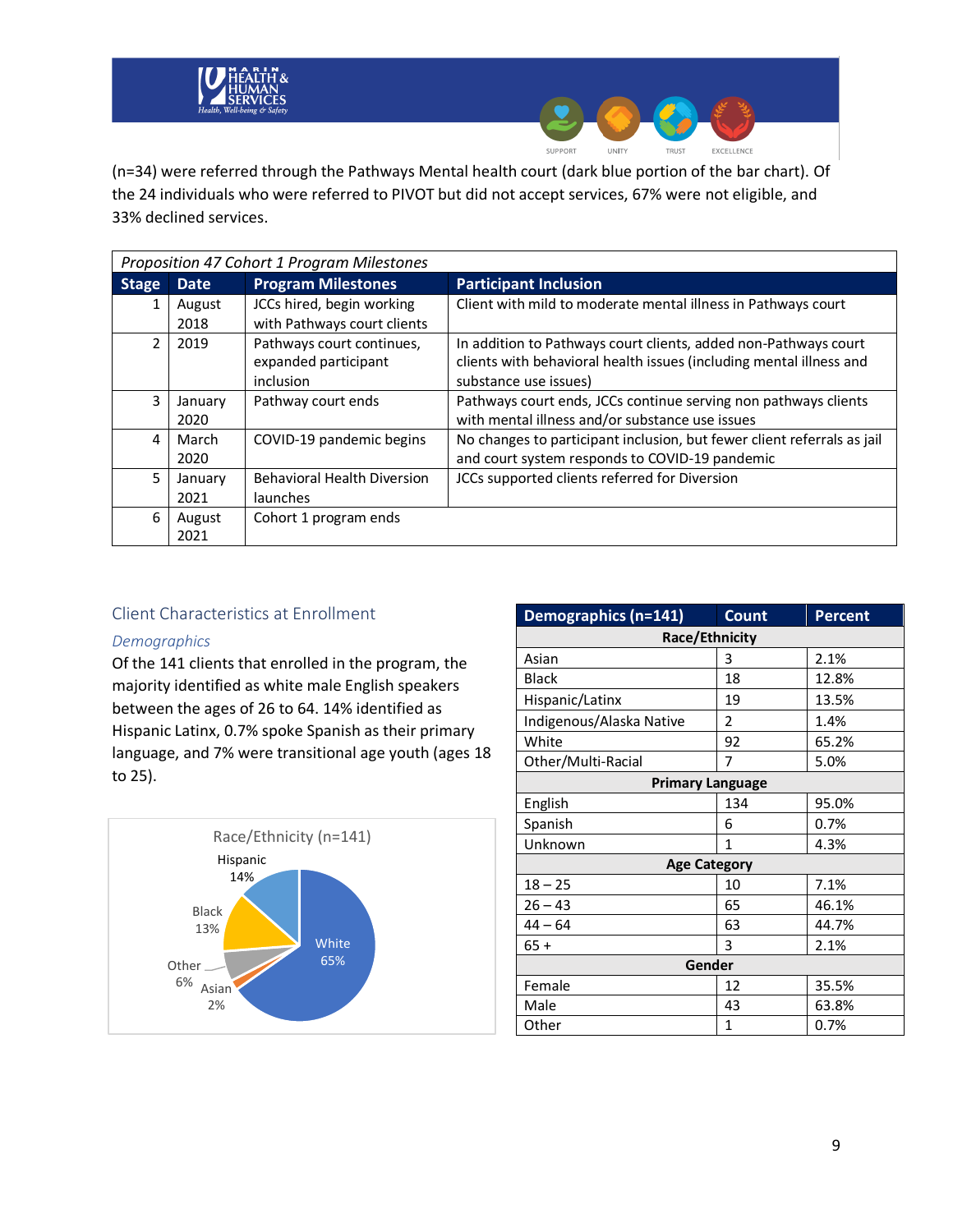

(n=34) were referred through the Pathways Mental health court (dark blue portion of the bar chart). Of the 24 individuals who were referred to PIVOT but did not accept services, 67% were not eligible, and 33% declined services.

SUPPORT

UNITY

TRUST

EXCELLENCE

| Proposition 47 Cohort 1 Program Milestones |                 |                                                                |                                                                                                                                                                 |  |  |
|--------------------------------------------|-----------------|----------------------------------------------------------------|-----------------------------------------------------------------------------------------------------------------------------------------------------------------|--|--|
| <b>Stage</b>                               | <b>Date</b>     | <b>Program Milestones</b>                                      | <b>Participant Inclusion</b>                                                                                                                                    |  |  |
|                                            | August<br>2018  | JCCs hired, begin working<br>with Pathways court clients       | Client with mild to moderate mental illness in Pathways court                                                                                                   |  |  |
| $\overline{2}$                             | 2019            | Pathways court continues,<br>expanded participant<br>inclusion | In addition to Pathways court clients, added non-Pathways court<br>clients with behavioral health issues (including mental illness and<br>substance use issues) |  |  |
| 3                                          | January<br>2020 | Pathway court ends                                             | Pathways court ends, JCCs continue serving non pathways clients<br>with mental illness and/or substance use issues                                              |  |  |
| 4                                          | March<br>2020   | COVID-19 pandemic begins                                       | No changes to participant inclusion, but fewer client referrals as jail<br>and court system responds to COVID-19 pandemic                                       |  |  |
| 5                                          | January<br>2021 | <b>Behavioral Health Diversion</b><br>launches                 | JCCs supported clients referred for Diversion                                                                                                                   |  |  |
| 6                                          | August<br>2021  | Cohort 1 program ends                                          |                                                                                                                                                                 |  |  |

### <span id="page-9-0"></span>Client Characteristics at Enrollment

#### *Demographics*

Of the 141 clients that enrolled in the program, the majority identified as white male English speakers between the ages of 26 to 64. 14% identified as Hispanic Latinx, 0.7% spoke Spanish as their primary language, and 7% were transitional age youth (ages 18 to 25).



| Demographics (n=141)     | <b>Count</b>  | <b>Percent</b> |  |
|--------------------------|---------------|----------------|--|
| Race/Ethnicity           |               |                |  |
| Asian                    | 3             | 2.1%           |  |
| Black                    | 18            | 12.8%          |  |
| Hispanic/Latinx          | 19            | 13.5%          |  |
| Indigenous/Alaska Native | $\mathcal{P}$ | 1.4%           |  |
| White                    | 92            | 65.2%          |  |
| Other/Multi-Racial       | 7             | 5.0%           |  |
| <b>Primary Language</b>  |               |                |  |
| English                  | 134           | 95.0%          |  |
| Spanish                  | 6             | 0.7%           |  |
| Unknown                  | 1             | 4.3%           |  |
| <b>Age Category</b>      |               |                |  |
| $18 - 25$                | 10            | 7.1%           |  |
| $26 - 43$                | 65            | 46.1%          |  |
| $44 - 64$                | 63            | 44.7%          |  |
| $65+$                    | 3             | 2.1%           |  |
| Gender                   |               |                |  |
| Female                   | 12            | 35.5%          |  |
| Male                     | 43            | 63.8%          |  |
| Other                    | 1             | 0.7%           |  |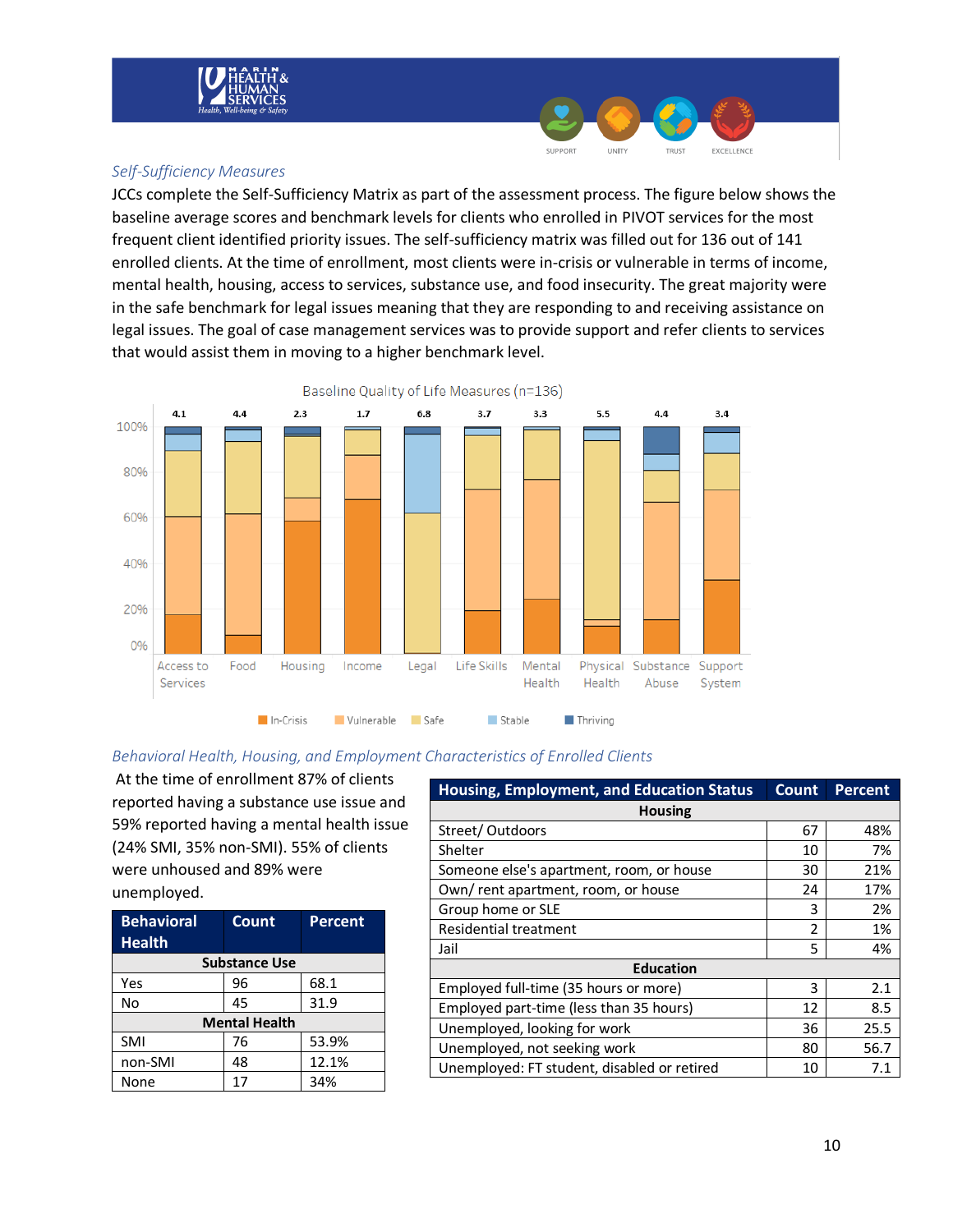



## *Self-Sufficiency Measures*

JCCs complete the Self-Sufficiency Matrix as part of the assessment process. The figure below shows the baseline average scores and benchmark levels for clients who enrolled in PIVOT services for the most frequent client identified priority issues. The self-sufficiency matrix was filled out for 136 out of 141 enrolled clients. At the time of enrollment, most clients were in-crisis or vulnerable in terms of income, mental health, housing, access to services, substance use, and food insecurity. The great majority were in the safe benchmark for legal issues meaning that they are responding to and receiving assistance on legal issues. The goal of case management services was to provide support and refer clients to services that would assist them in moving to a higher benchmark level.



#### *Behavioral Health, Housing, and Employment Characteristics of Enrolled Clients*

At the time of enrollment 87% of clients reported having a substance use issue and 59% reported having a mental health issue (24% SMI, 35% non-SMI). 55% of clients were unhoused and 89% were unemployed.

| <b>Behavioral</b><br><b>Health</b> | <b>Count</b>         | Percent |  |  |
|------------------------------------|----------------------|---------|--|--|
|                                    | <b>Substance Use</b> |         |  |  |
| Yes                                | 96                   | 68.1    |  |  |
| No                                 | 45                   | 31.9    |  |  |
| <b>Mental Health</b>               |                      |         |  |  |
| SMI                                | 76                   | 53.9%   |  |  |
| non-SMI                            | 48                   | 12.1%   |  |  |
| None                               | 17                   | 34%     |  |  |

| <b>Housing, Employment, and Education Status</b> | Count         | <b>Percent</b> |  |  |
|--------------------------------------------------|---------------|----------------|--|--|
| <b>Housing</b>                                   |               |                |  |  |
| Street/Outdoors                                  | 67            | 48%            |  |  |
| Shelter                                          | 10            | 7%             |  |  |
| Someone else's apartment, room, or house         | 30            | 21%            |  |  |
| Own/rent apartment, room, or house               | 24            | 17%            |  |  |
| Group home or SLE                                | 3             | 2%             |  |  |
| Residential treatment                            | $\mathfrak z$ | 1%             |  |  |
| Jail                                             | 5             | 4%             |  |  |
| <b>Education</b>                                 |               |                |  |  |
| Employed full-time (35 hours or more)            | 3             | 2.1            |  |  |
| Employed part-time (less than 35 hours)          | 12            | 8.5            |  |  |
| Unemployed, looking for work                     | 36            | 25.5           |  |  |
| Unemployed, not seeking work                     | 80            | 56.7           |  |  |
| Unemployed: FT student, disabled or retired      | 10            | 7.1            |  |  |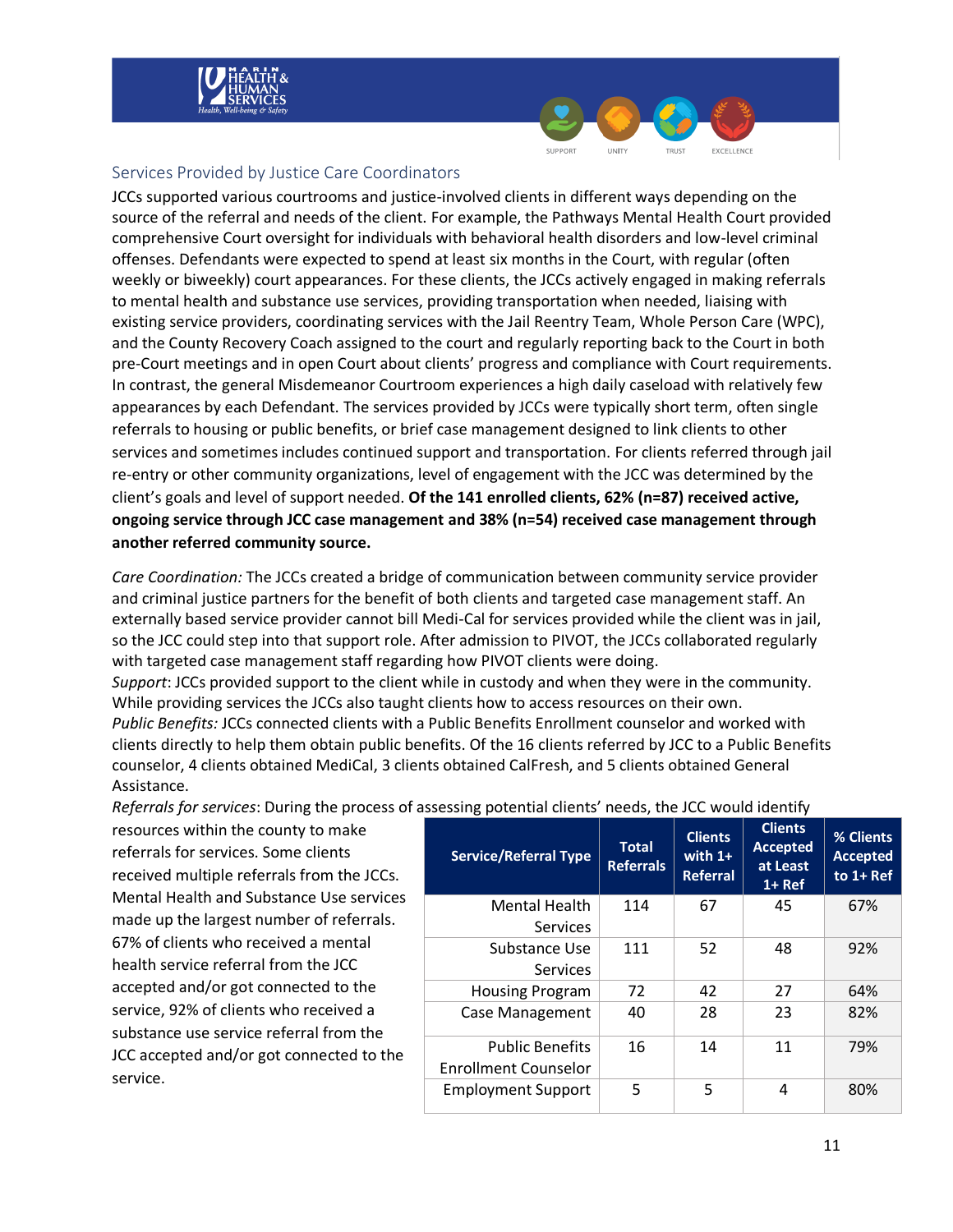



### <span id="page-11-0"></span>Services Provided by Justice Care Coordinators

JCCs supported various courtrooms and justice-involved clients in different ways depending on the source of the referral and needs of the client. For example, the Pathways Mental Health Court provided comprehensive Court oversight for individuals with behavioral health disorders and low-level criminal offenses. Defendants were expected to spend at least six months in the Court, with regular (often weekly or biweekly) court appearances. For these clients, the JCCs actively engaged in making referrals to mental health and substance use services, providing transportation when needed, liaising with existing service providers, coordinating services with the Jail Reentry Team, Whole Person Care (WPC), and the County Recovery Coach assigned to the court and regularly reporting back to the Court in both pre-Court meetings and in open Court about clients' progress and compliance with Court requirements. In contrast, the general Misdemeanor Courtroom experiences a high daily caseload with relatively few appearances by each Defendant. The services provided by JCCs were typically short term, often single referrals to housing or public benefits, or brief case management designed to link clients to other services and sometimes includes continued support and transportation. For clients referred through jail re-entry or other community organizations, level of engagement with the JCC was determined by the client's goals and level of support needed. **Of the 141 enrolled clients, 62% (n=87) received active, ongoing service through JCC case management and 38% (n=54) received case management through another referred community source.** 

*Care Coordination:* The JCCs created a bridge of communication between community service provider and criminal justice partners for the benefit of both clients and targeted case management staff. An externally based service provider cannot bill Medi-Cal for services provided while the client was in jail, so the JCC could step into that support role. After admission to PIVOT, the JCCs collaborated regularly with targeted case management staff regarding how PIVOT clients were doing.

*Support*: JCCs provided support to the client while in custody and when they were in the community. While providing services the JCCs also taught clients how to access resources on their own. *Public Benefits:* JCCs connected clients with a Public Benefits Enrollment counselor and worked with clients directly to help them obtain public benefits. Of the 16 clients referred by JCC to a Public Benefits counselor, 4 clients obtained MediCal, 3 clients obtained CalFresh, and 5 clients obtained General Assistance.

| resources within the county to make<br>referrals for services. Some clients<br>received multiple referrals from the JCCs. | <b>Service/Referral Type</b> | <b>Total</b><br><b>Referrals</b> | <b>Clients</b><br>with $1+$<br>Referral | <b>Clients</b><br>Accepted<br>at Least<br>$1 + Ref$ | % Clients<br><b>Accepted</b><br>to $1+$ Ref |
|---------------------------------------------------------------------------------------------------------------------------|------------------------------|----------------------------------|-----------------------------------------|-----------------------------------------------------|---------------------------------------------|
| Mental Health and Substance Use services                                                                                  | Mental Health                | 114                              | 67                                      | 45                                                  | 67%                                         |
| made up the largest number of referrals.                                                                                  | <b>Services</b>              |                                  |                                         |                                                     |                                             |
| 67% of clients who received a mental                                                                                      | Substance Use                | 111                              | 52                                      | 48                                                  | 92%                                         |
| health service referral from the JCC                                                                                      | <b>Services</b>              |                                  |                                         |                                                     |                                             |
| accepted and/or got connected to the                                                                                      | <b>Housing Program</b>       | 72                               | 42                                      | 27                                                  | 64%                                         |
| service, 92% of clients who received a<br>substance use service referral from the                                         | <b>Case Management</b>       | 40                               | 28                                      | 23                                                  | 82%                                         |
| JCC accepted and/or got connected to the                                                                                  | <b>Public Benefits</b>       | 16                               | 14                                      | 11                                                  | 79%                                         |
| service.                                                                                                                  | <b>Enrollment Counselor</b>  |                                  |                                         |                                                     |                                             |
|                                                                                                                           | <b>Employment Support</b>    | 5                                | 5                                       | 4                                                   | 80%                                         |

*Referrals for services*: During the process of assessing potential clients' needs, the JCC would identify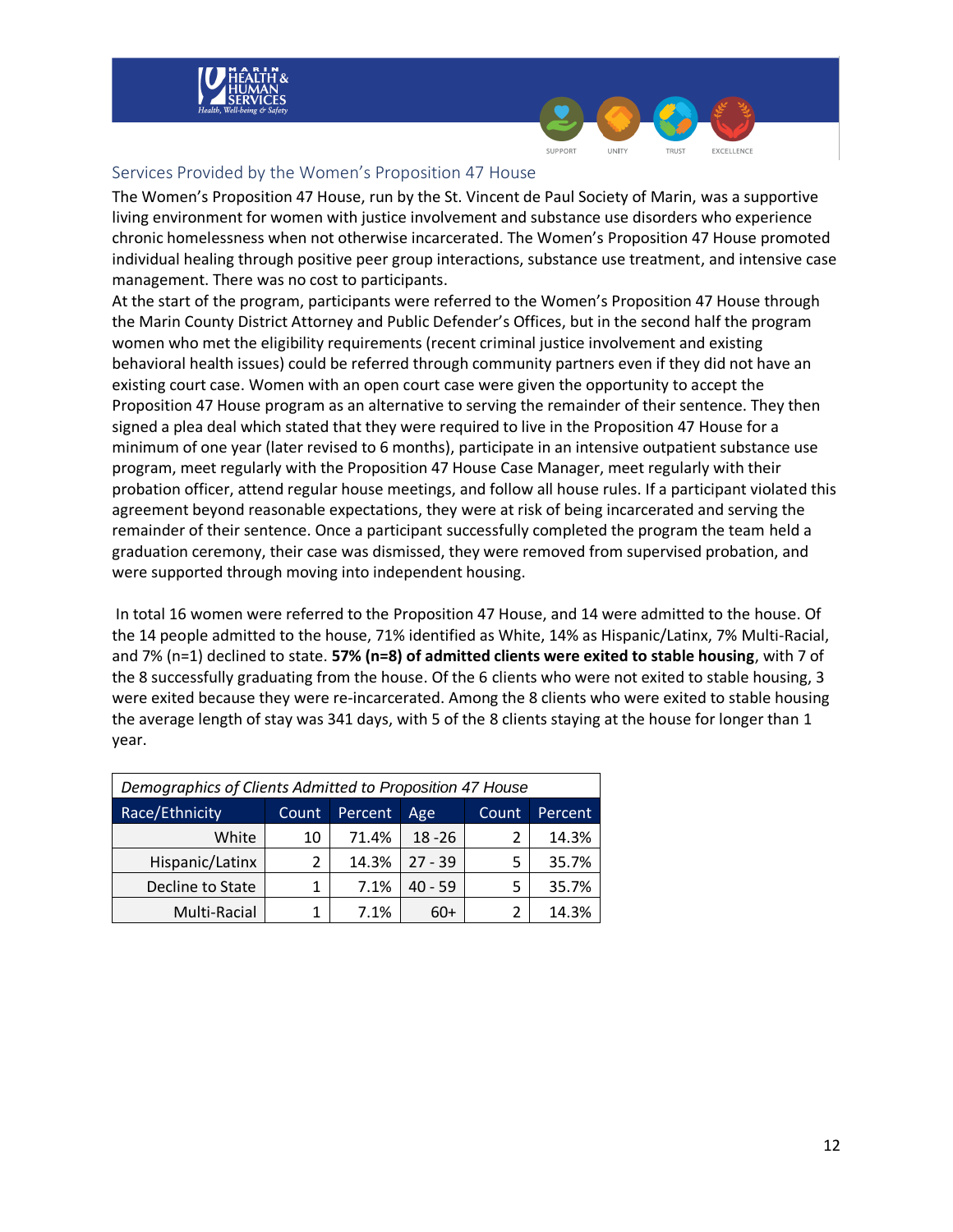



## <span id="page-12-0"></span>Services Provided by the Women's Proposition 47 House

The Women's Proposition 47 House, run by the St. Vincent de Paul Society of Marin, was a supportive living environment for women with justice involvement and substance use disorders who experience chronic homelessness when not otherwise incarcerated. The Women's Proposition 47 House promoted individual healing through positive peer group interactions, substance use treatment, and intensive case management. There was no cost to participants.

At the start of the program, participants were referred to the Women's Proposition 47 House through the Marin County District Attorney and Public Defender's Offices, but in the second half the program women who met the eligibility requirements (recent criminal justice involvement and existing behavioral health issues) could be referred through community partners even if they did not have an existing court case. Women with an open court case were given the opportunity to accept the Proposition 47 House program as an alternative to serving the remainder of their sentence. They then signed a plea deal which stated that they were required to live in the Proposition 47 House for a minimum of one year (later revised to 6 months), participate in an intensive outpatient substance use program, meet regularly with the Proposition 47 House Case Manager, meet regularly with their probation officer, attend regular house meetings, and follow all house rules. If a participant violated this agreement beyond reasonable expectations, they were at risk of being incarcerated and serving the remainder of their sentence. Once a participant successfully completed the program the team held a graduation ceremony, their case was dismissed, they were removed from supervised probation, and were supported through moving into independent housing.

In total 16 women were referred to the Proposition 47 House, and 14 were admitted to the house. Of the 14 people admitted to the house, 71% identified as White, 14% as Hispanic/Latinx, 7% Multi-Racial, and 7% (n=1) declined to state. **57% (n=8) of admitted clients were exited to stable housing**, with 7 of the 8 successfully graduating from the house. Of the 6 clients who were not exited to stable housing, 3 were exited because they were re-incarcerated. Among the 8 clients who were exited to stable housing the average length of stay was 341 days, with 5 of the 8 clients staying at the house for longer than 1 year.

| Demographics of Clients Admitted to Proposition 47 House |               |         |           |       |         |
|----------------------------------------------------------|---------------|---------|-----------|-------|---------|
| Race/Ethnicity                                           | Count         | Percent | Age       | Count | Percent |
| White                                                    | 10            | 71.4%   | $18 - 26$ |       | 14.3%   |
| Hispanic/Latinx                                          | $\mathcal{P}$ | 14.3%   | $27 - 39$ | 5     | 35.7%   |
| Decline to State                                         |               | 7.1%    | $40 - 59$ | 5     | 35.7%   |
| Multi-Racial                                             |               | 7.1%    | 60+       |       | 14.3%   |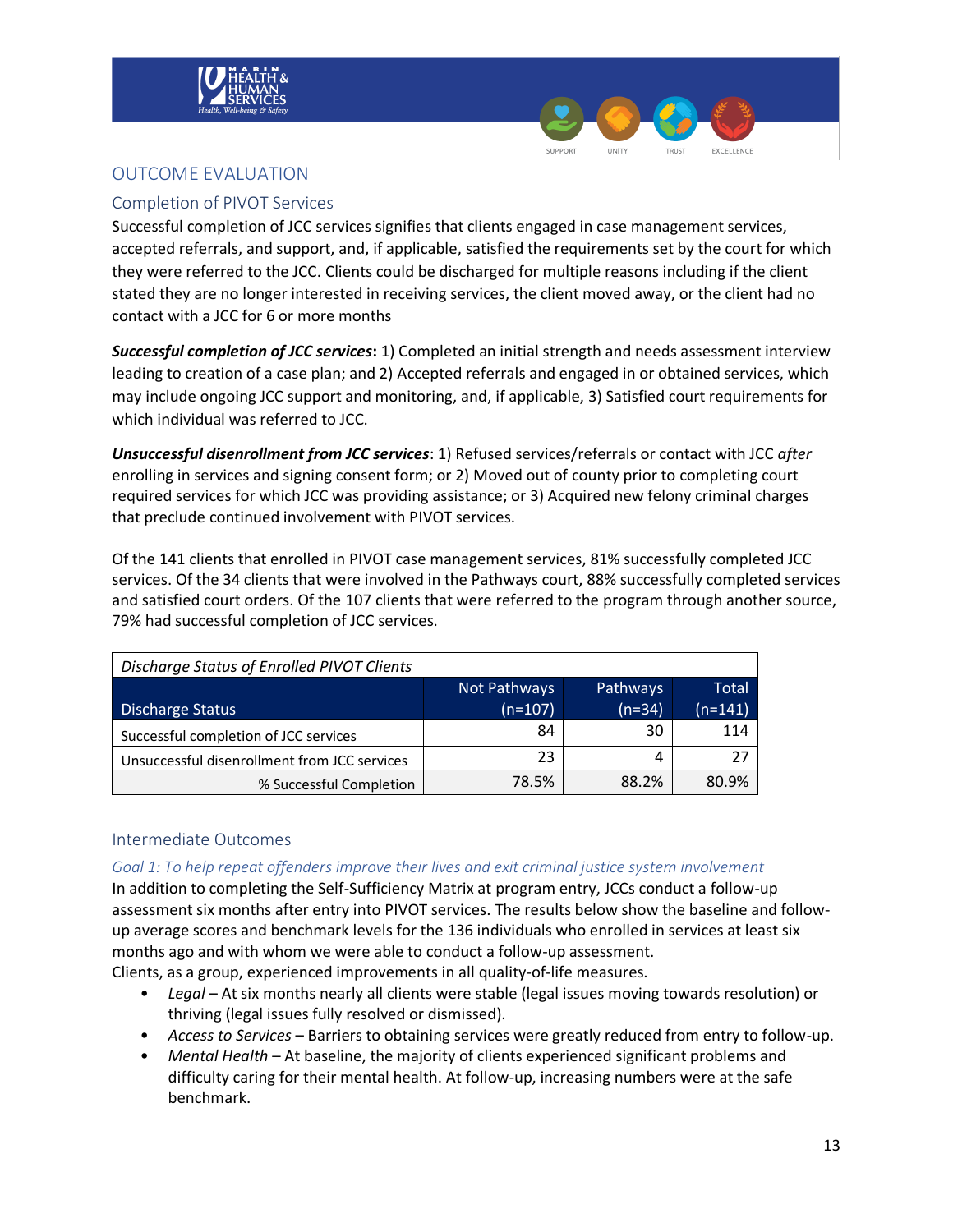



## <span id="page-13-0"></span>OUTCOME EVALUATION

## <span id="page-13-1"></span>Completion of PIVOT Services

Successful completion of JCC services signifies that clients engaged in case management services, accepted referrals, and support, and, if applicable, satisfied the requirements set by the court for which they were referred to the JCC. Clients could be discharged for multiple reasons including if the client stated they are no longer interested in receiving services, the client moved away, or the client had no contact with a JCC for 6 or more months

*Successful completion of JCC services***:** 1) Completed an initial strength and needs assessment interview leading to creation of a case plan; and 2) Accepted referrals and engaged in or obtained services, which may include ongoing JCC support and monitoring, and, if applicable, 3) Satisfied court requirements for which individual was referred to JCC.

*Unsuccessful disenrollment from JCC services*: 1) Refused services/referrals or contact with JCC *after*  enrolling in services and signing consent form; or 2) Moved out of county prior to completing court required services for which JCC was providing assistance; or 3) Acquired new felony criminal charges that preclude continued involvement with PIVOT services.

Of the 141 clients that enrolled in PIVOT case management services, 81% successfully completed JCC services. Of the 34 clients that were involved in the Pathways court, 88% successfully completed services and satisfied court orders. Of the 107 clients that were referred to the program through another source, 79% had successful completion of JCC services.

| Discharge Status of Enrolled PIVOT Clients   |              |          |           |  |  |
|----------------------------------------------|--------------|----------|-----------|--|--|
|                                              | Not Pathways | Pathways | Total     |  |  |
| <b>Discharge Status</b>                      | $(n=107)$    | $(n=34)$ | $(n=141)$ |  |  |
| Successful completion of JCC services        | 84           | 30       | 114       |  |  |
| Unsuccessful disenrollment from JCC services | 23           | 4        |           |  |  |
| % Successful Completion                      | 78.5%        | 88.2%    | 80.9%     |  |  |

#### <span id="page-13-2"></span>Intermediate Outcomes

#### *Goal 1: To help repeat offenders improve their lives and exit criminal justice system involvement*

In addition to completing the Self-Sufficiency Matrix at program entry, JCCs conduct a follow-up assessment six months after entry into PIVOT services. The results below show the baseline and followup average scores and benchmark levels for the 136 individuals who enrolled in services at least six months ago and with whom we were able to conduct a follow-up assessment.

Clients, as a group, experienced improvements in all quality-of-life measures.

- Legal At six months nearly all clients were stable (legal issues moving towards resolution) or thriving (legal issues fully resolved or dismissed).
- *Access to Services*  Barriers to obtaining services were greatly reduced from entry to follow-up.
- *Mental Health –* At baseline, the majority of clients experienced significant problems and difficulty caring for their mental health. At follow-up, increasing numbers were at the safe benchmark.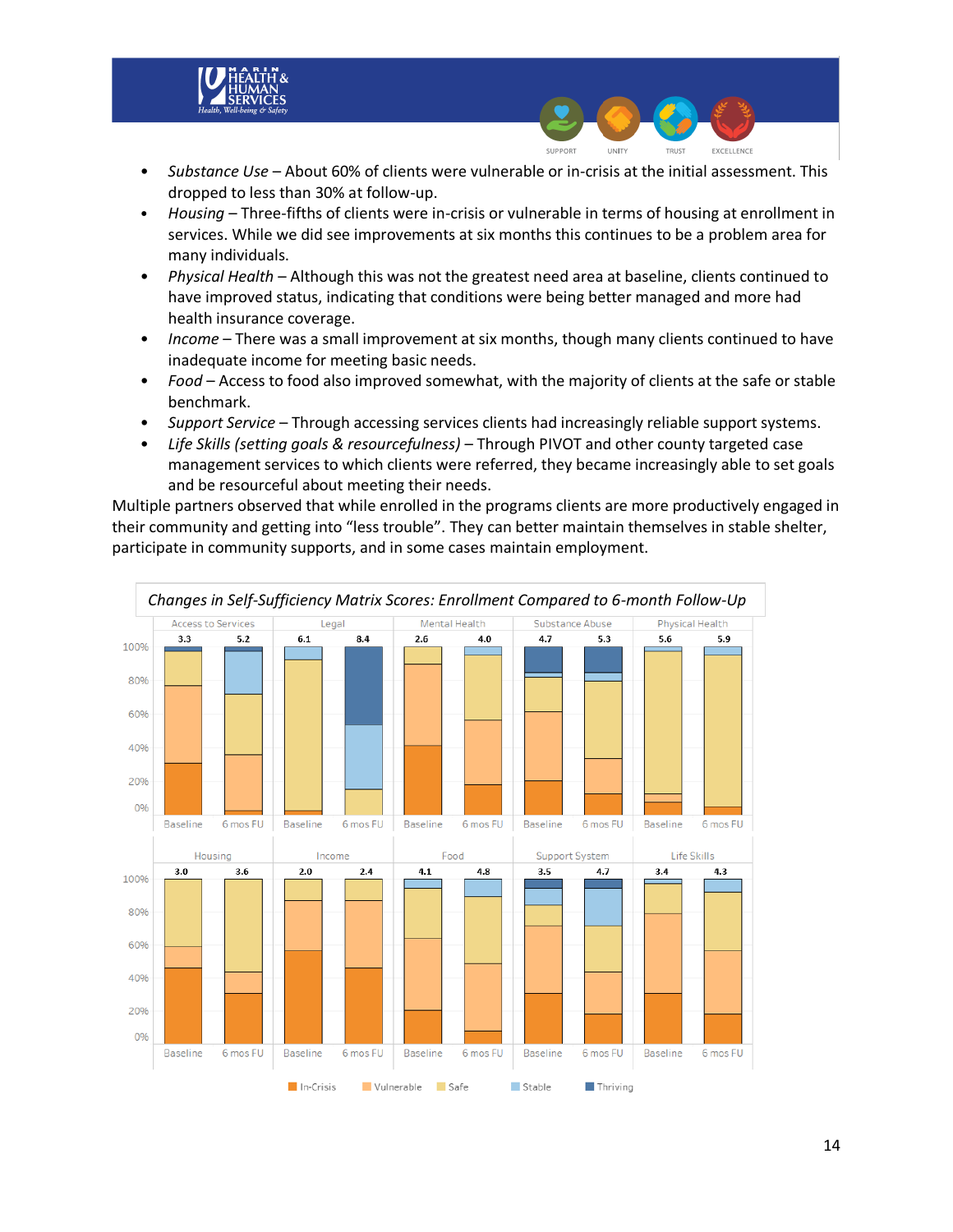

• *Substance Use* – About 60% of clients were vulnerable or in-crisis at the initial assessment. This dropped to less than 30% at follow-up.

UNITY

SUPPORT

EXCELLENCE

**TRUST** 

- *Housing*  Three-fifths of clients were in-crisis or vulnerable in terms of housing at enrollment in services. While we did see improvements at six months this continues to be a problem area for many individuals.
- *Physical Health*  Although this was not the greatest need area at baseline, clients continued to have improved status, indicating that conditions were being better managed and more had health insurance coverage.
- *Income*  There was a small improvement at six months, though many clients continued to have inadequate income for meeting basic needs.
- *Food*  Access to food also improved somewhat, with the majority of clients at the safe or stable benchmark.
- *Support Service*  Through accessing services clients had increasingly reliable support systems.
- *Life Skills (setting goals & resourcefulness)*  Through PIVOT and other county targeted case management services to which clients were referred, they became increasingly able to set goals and be resourceful about meeting their needs.

Multiple partners observed that while enrolled in the programs clients are more productively engaged in their community and getting into "less trouble". They can better maintain themselves in stable shelter, participate in community supports, and in some cases maintain employment.

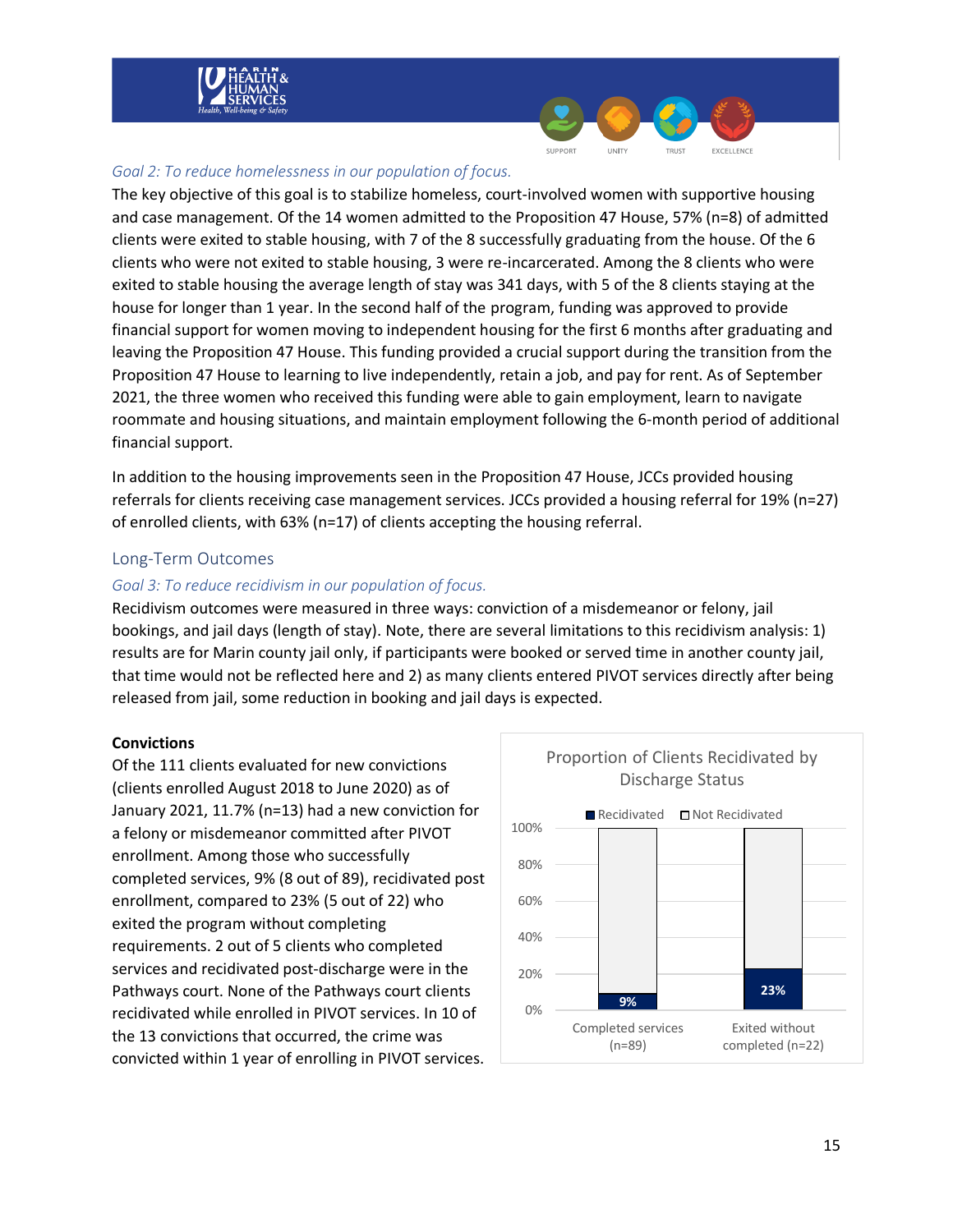



### *Goal 2: To reduce homelessness in our population of focus.*

The key objective of this goal is to stabilize homeless, court-involved women with supportive housing and case management. Of the 14 women admitted to the Proposition 47 House, 57% (n=8) of admitted clients were exited to stable housing, with 7 of the 8 successfully graduating from the house. Of the 6 clients who were not exited to stable housing, 3 were re-incarcerated. Among the 8 clients who were exited to stable housing the average length of stay was 341 days, with 5 of the 8 clients staying at the house for longer than 1 year. In the second half of the program, funding was approved to provide financial support for women moving to independent housing for the first 6 months after graduating and leaving the Proposition 47 House. This funding provided a crucial support during the transition from the Proposition 47 House to learning to live independently, retain a job, and pay for rent. As of September 2021, the three women who received this funding were able to gain employment, learn to navigate roommate and housing situations, and maintain employment following the 6-month period of additional financial support.

In addition to the housing improvements seen in the Proposition 47 House, JCCs provided housing referrals for clients receiving case management services. JCCs provided a housing referral for 19% (n=27) of enrolled clients, with 63% (n=17) of clients accepting the housing referral.

#### <span id="page-15-0"></span>Long-Term Outcomes

## *Goal 3: To reduce recidivism in our population of focus.*

Recidivism outcomes were measured in three ways: conviction of a misdemeanor or felony, jail bookings, and jail days (length of stay). Note, there are several limitations to this recidivism analysis: 1) results are for Marin county jail only, if participants were booked or served time in another county jail, that time would not be reflected here and 2) as many clients entered PIVOT services directly after being released from jail, some reduction in booking and jail days is expected.

#### **Convictions**

Of the 111 clients evaluated for new convictions (clients enrolled August 2018 to June 2020) as of January 2021, 11.7% (n=13) had a new conviction for a felony or misdemeanor committed after PIVOT enrollment. Among those who successfully completed services, 9% (8 out of 89), recidivated post enrollment, compared to 23% (5 out of 22) who exited the program without completing requirements. 2 out of 5 clients who completed services and recidivated post-discharge were in the Pathways court. None of the Pathways court clients recidivated while enrolled in PIVOT services. In 10 of the 13 convictions that occurred, the crime was convicted within 1 year of enrolling in PIVOT services.

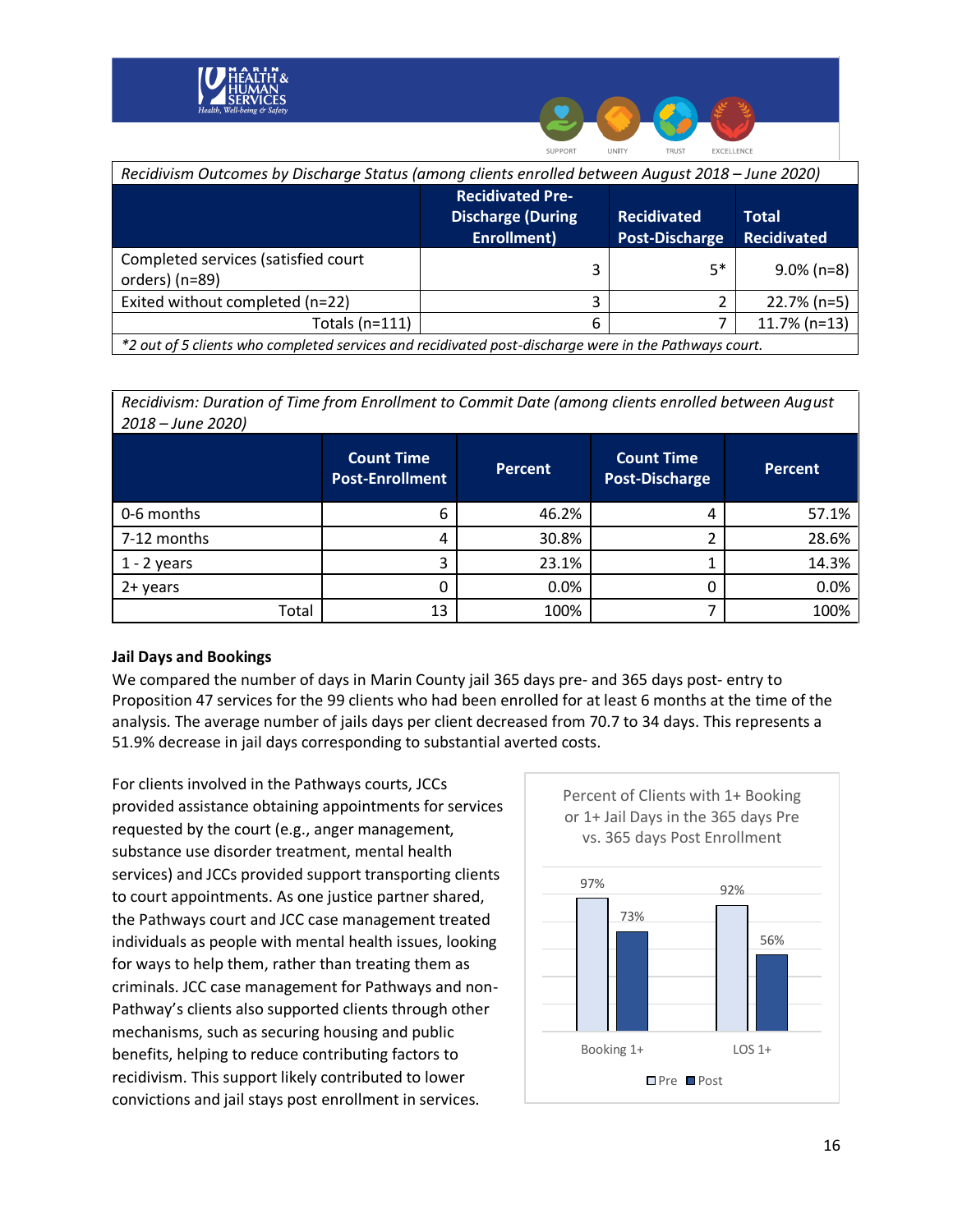



| Recidivism Outcomes by Discharge Status (among clients enrolled between August 2018 - June 2020)      |                                                                    |                                             |                                    |  |  |
|-------------------------------------------------------------------------------------------------------|--------------------------------------------------------------------|---------------------------------------------|------------------------------------|--|--|
|                                                                                                       | <b>Recidivated Pre-</b><br><b>Discharge (During</b><br>Enrollment) | <b>Recidivated</b><br><b>Post-Discharge</b> | <b>Total</b><br><b>Recidivated</b> |  |  |
| Completed services (satisfied court<br>orders) (n=89)                                                 | 3                                                                  | $5*$                                        | $9.0\%$ (n=8)                      |  |  |
| Exited without completed (n=22)                                                                       | 3                                                                  |                                             | 22.7% (n=5)                        |  |  |
| Totals $(n=111)$                                                                                      | 6                                                                  |                                             | $11.7\%$ (n=13)                    |  |  |
| *2 out of 5 clients who completed services and recidivated post-discharge were in the Pathways court. |                                                                    |                                             |                                    |  |  |

*Recidivism: Duration of Time from Enrollment to Commit Date (among clients enrolled between August 2018 – June 2020)*

| ----<br>$3011C$ $-020C$ |                                             |         |                                     |                |  |
|-------------------------|---------------------------------------------|---------|-------------------------------------|----------------|--|
|                         | <b>Count Time</b><br><b>Post-Enrollment</b> | Percent | <b>Count Time</b><br>Post-Discharge | <b>Percent</b> |  |
| 0-6 months              | 6                                           | 46.2%   | 4                                   | 57.1%          |  |
| 7-12 months             |                                             | 30.8%   |                                     | 28.6%          |  |
| $1 - 2$ years           | ∍                                           | 23.1%   |                                     | 14.3%          |  |
| 2+ years                |                                             | 0.0%    | 0                                   | 0.0%           |  |
| Total                   | 13                                          | 100%    |                                     | 100%           |  |

#### **Jail Days and Bookings**

We compared the number of days in Marin County jail 365 days pre- and 365 days post- entry to Proposition 47 services for the 99 clients who had been enrolled for at least 6 months at the time of the analysis. The average number of jails days per client decreased from 70.7 to 34 days. This represents a 51.9% decrease in jail days corresponding to substantial averted costs.

For clients involved in the Pathways courts, JCCs provided assistance obtaining appointments for services requested by the court (e.g., anger management, substance use disorder treatment, mental health services) and JCCs provided support transporting clients to court appointments. As one justice partner shared, the Pathways court and JCC case management treated individuals as people with mental health issues, looking for ways to help them, rather than treating them as criminals. JCC case management for Pathways and non-Pathway's clients also supported clients through other mechanisms, such as securing housing and public benefits, helping to reduce contributing factors to recidivism. This support likely contributed to lower convictions and jail stays post enrollment in services.

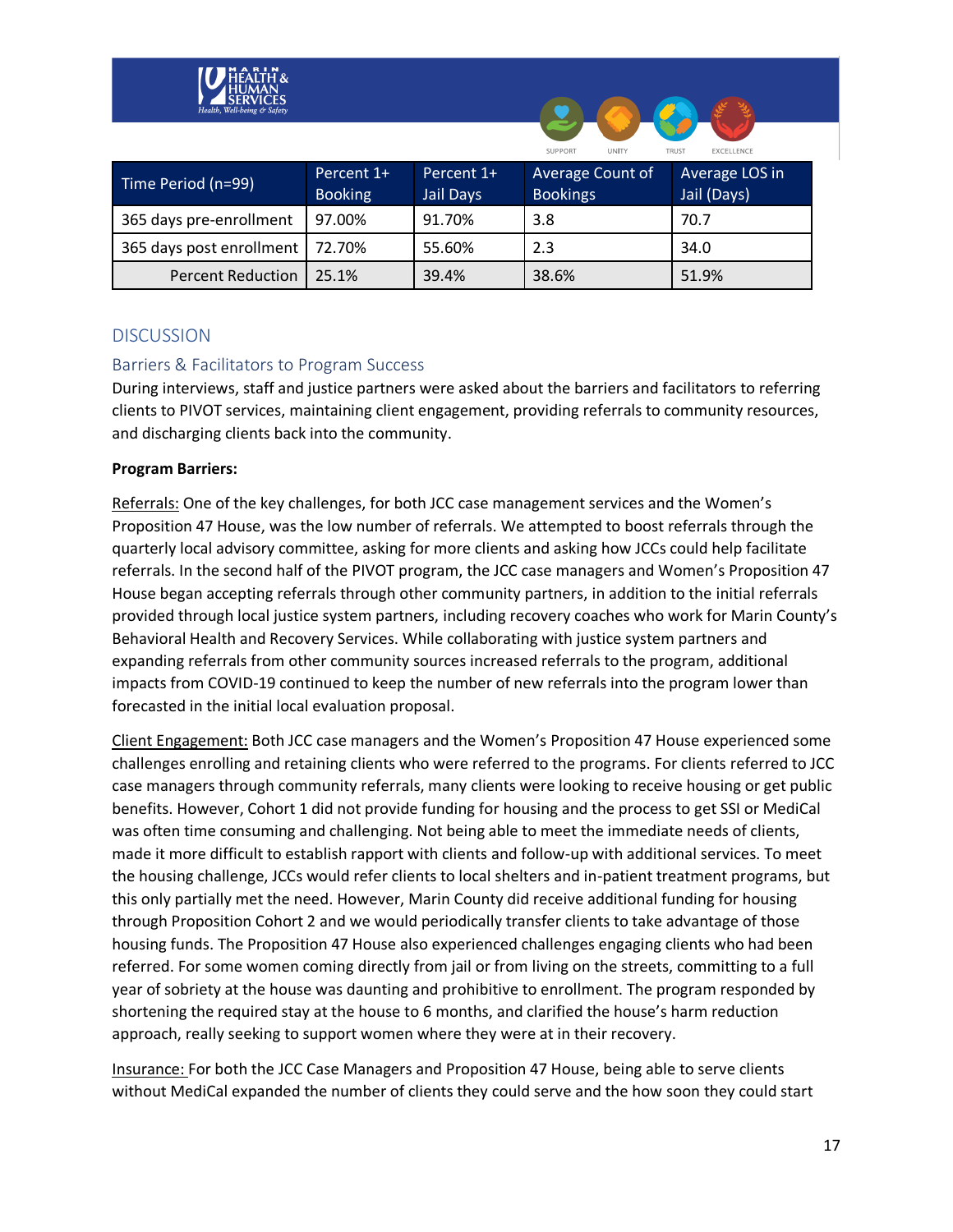

|                          |                              |                         | UNITY<br>SUPPORT                    | EXCELLENCE<br><b>TRUST</b>    |
|--------------------------|------------------------------|-------------------------|-------------------------------------|-------------------------------|
| Time Period (n=99)       | Percent 1+<br><b>Booking</b> | Percent 1+<br>Jail Days | Average Count of<br><b>Bookings</b> | Average LOS in<br>Jail (Days) |
| 365 days pre-enrollment  | 97.00%                       | 91.70%                  | 3.8                                 | 70.7                          |
| 365 days post enrollment | 72.70%                       | 55.60%                  | 2.3                                 | 34.0                          |
| <b>Percent Reduction</b> | 25.1%                        | 39.4%                   | 38.6%                               | 51.9%                         |

 $\bullet$   $\bullet$   $\bullet$ 

## <span id="page-17-0"></span>**DISCUSSION**

## <span id="page-17-1"></span>Barriers & Facilitators to Program Success

During interviews, staff and justice partners were asked about the barriers and facilitators to referring clients to PIVOT services, maintaining client engagement, providing referrals to community resources, and discharging clients back into the community.

#### **Program Barriers:**

Referrals: One of the key challenges, for both JCC case management services and the Women's Proposition 47 House, was the low number of referrals. We attempted to boost referrals through the quarterly local advisory committee, asking for more clients and asking how JCCs could help facilitate referrals. In the second half of the PIVOT program, the JCC case managers and Women's Proposition 47 House began accepting referrals through other community partners, in addition to the initial referrals provided through local justice system partners, including recovery coaches who work for Marin County's Behavioral Health and Recovery Services. While collaborating with justice system partners and expanding referrals from other community sources increased referrals to the program, additional impacts from COVID-19 continued to keep the number of new referrals into the program lower than forecasted in the initial local evaluation proposal.

Client Engagement: Both JCC case managers and the Women's Proposition 47 House experienced some challenges enrolling and retaining clients who were referred to the programs. For clients referred to JCC case managers through community referrals, many clients were looking to receive housing or get public benefits. However, Cohort 1 did not provide funding for housing and the process to get SSI or MediCal was often time consuming and challenging. Not being able to meet the immediate needs of clients, made it more difficult to establish rapport with clients and follow-up with additional services. To meet the housing challenge, JCCs would refer clients to local shelters and in-patient treatment programs, but this only partially met the need. However, Marin County did receive additional funding for housing through Proposition Cohort 2 and we would periodically transfer clients to take advantage of those housing funds. The Proposition 47 House also experienced challenges engaging clients who had been referred. For some women coming directly from jail or from living on the streets, committing to a full year of sobriety at the house was daunting and prohibitive to enrollment. The program responded by shortening the required stay at the house to 6 months, and clarified the house's harm reduction approach, really seeking to support women where they were at in their recovery.

Insurance: For both the JCC Case Managers and Proposition 47 House, being able to serve clients without MediCal expanded the number of clients they could serve and the how soon they could start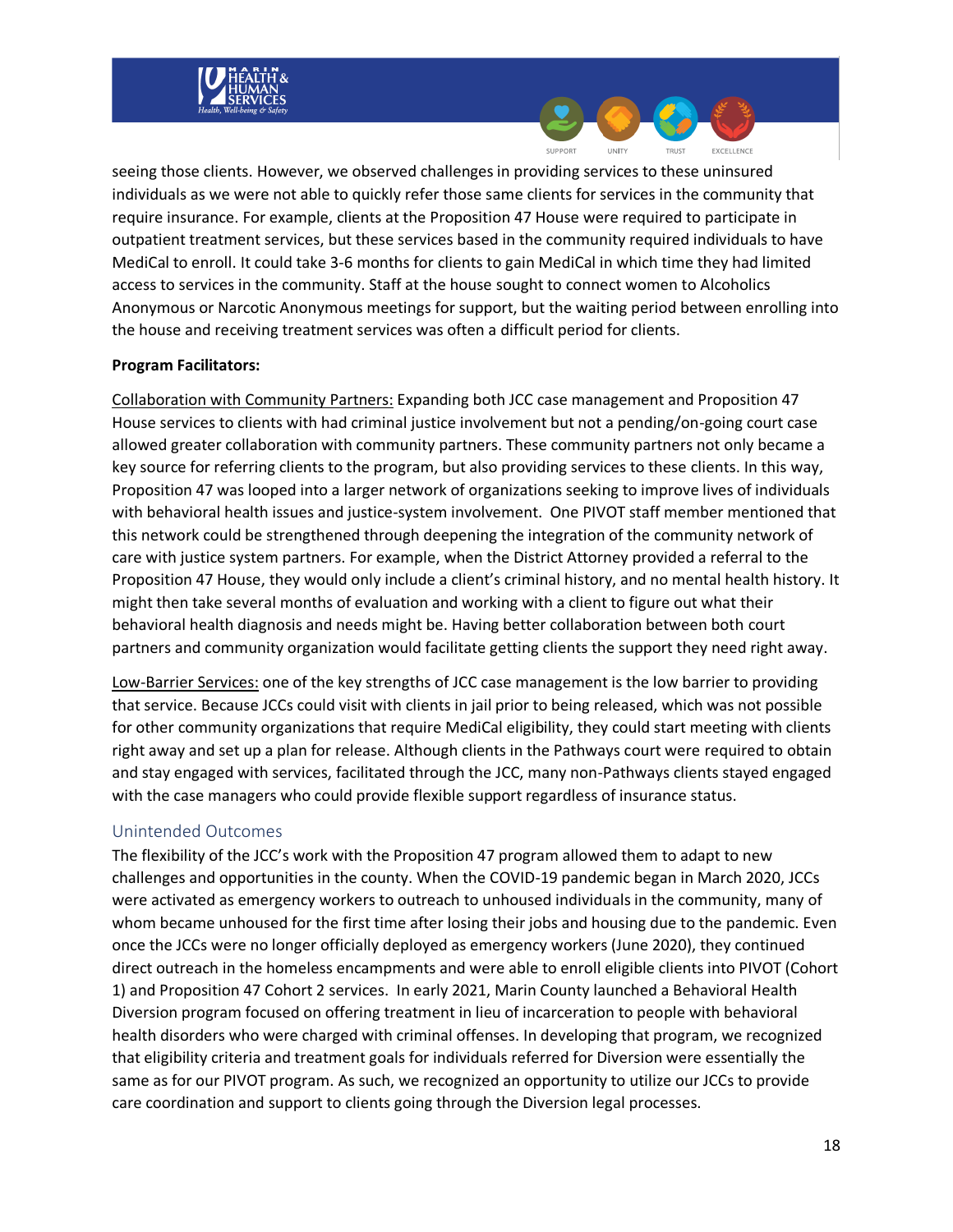

seeing those clients. However, we observed challenges in providing services to these uninsured individuals as we were not able to quickly refer those same clients for services in the community that require insurance. For example, clients at the Proposition 47 House were required to participate in outpatient treatment services, but these services based in the community required individuals to have MediCal to enroll. It could take 3-6 months for clients to gain MediCal in which time they had limited access to services in the community. Staff at the house sought to connect women to Alcoholics Anonymous or Narcotic Anonymous meetings for support, but the waiting period between enrolling into the house and receiving treatment services was often a difficult period for clients.

UNITY

SUPPORT

EXCELLENCE

TRUST

#### **Program Facilitators:**

Collaboration with Community Partners: Expanding both JCC case management and Proposition 47 House services to clients with had criminal justice involvement but not a pending/on-going court case allowed greater collaboration with community partners. These community partners not only became a key source for referring clients to the program, but also providing services to these clients. In this way, Proposition 47 was looped into a larger network of organizations seeking to improve lives of individuals with behavioral health issues and justice-system involvement. One PIVOT staff member mentioned that this network could be strengthened through deepening the integration of the community network of care with justice system partners. For example, when the District Attorney provided a referral to the Proposition 47 House, they would only include a client's criminal history, and no mental health history. It might then take several months of evaluation and working with a client to figure out what their behavioral health diagnosis and needs might be. Having better collaboration between both court partners and community organization would facilitate getting clients the support they need right away.

Low-Barrier Services: one of the key strengths of JCC case management is the low barrier to providing that service. Because JCCs could visit with clients in jail prior to being released, which was not possible for other community organizations that require MediCal eligibility, they could start meeting with clients right away and set up a plan for release. Although clients in the Pathways court were required to obtain and stay engaged with services, facilitated through the JCC, many non-Pathways clients stayed engaged with the case managers who could provide flexible support regardless of insurance status.

#### <span id="page-18-0"></span>Unintended Outcomes

The flexibility of the JCC's work with the Proposition 47 program allowed them to adapt to new challenges and opportunities in the county. When the COVID-19 pandemic began in March 2020, JCCs were activated as emergency workers to outreach to unhoused individuals in the community, many of whom became unhoused for the first time after losing their jobs and housing due to the pandemic. Even once the JCCs were no longer officially deployed as emergency workers (June 2020), they continued direct outreach in the homeless encampments and were able to enroll eligible clients into PIVOT (Cohort 1) and Proposition 47 Cohort 2 services. In early 2021, Marin County launched a Behavioral Health Diversion program focused on offering treatment in lieu of incarceration to people with behavioral health disorders who were charged with criminal offenses. In developing that program, we recognized that eligibility criteria and treatment goals for individuals referred for Diversion were essentially the same as for our PIVOT program. As such, we recognized an opportunity to utilize our JCCs to provide care coordination and support to clients going through the Diversion legal processes.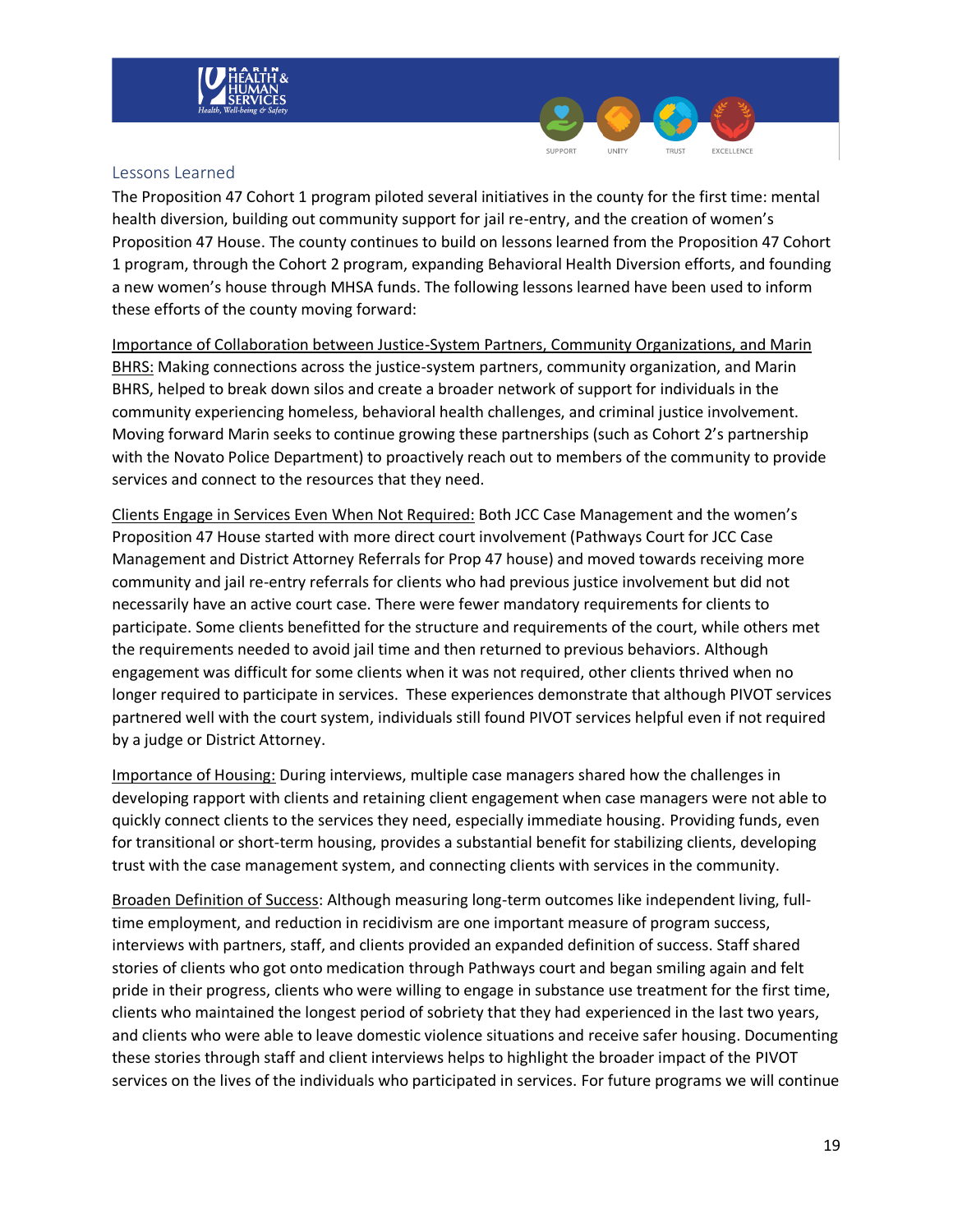



#### <span id="page-19-0"></span>Lessons Learned

The Proposition 47 Cohort 1 program piloted several initiatives in the county for the first time: mental health diversion, building out community support for jail re-entry, and the creation of women's Proposition 47 House. The county continues to build on lessons learned from the Proposition 47 Cohort 1 program, through the Cohort 2 program, expanding Behavioral Health Diversion efforts, and founding a new women's house through MHSA funds. The following lessons learned have been used to inform these efforts of the county moving forward:

Importance of Collaboration between Justice-System Partners, Community Organizations, and Marin BHRS: Making connections across the justice-system partners, community organization, and Marin BHRS, helped to break down silos and create a broader network of support for individuals in the community experiencing homeless, behavioral health challenges, and criminal justice involvement. Moving forward Marin seeks to continue growing these partnerships (such as Cohort 2's partnership with the Novato Police Department) to proactively reach out to members of the community to provide services and connect to the resources that they need.

Clients Engage in Services Even When Not Required: Both JCC Case Management and the women's Proposition 47 House started with more direct court involvement (Pathways Court for JCC Case Management and District Attorney Referrals for Prop 47 house) and moved towards receiving more community and jail re-entry referrals for clients who had previous justice involvement but did not necessarily have an active court case. There were fewer mandatory requirements for clients to participate. Some clients benefitted for the structure and requirements of the court, while others met the requirements needed to avoid jail time and then returned to previous behaviors. Although engagement was difficult for some clients when it was not required, other clients thrived when no longer required to participate in services. These experiences demonstrate that although PIVOT services partnered well with the court system, individuals still found PIVOT services helpful even if not required by a judge or District Attorney.

Importance of Housing: During interviews, multiple case managers shared how the challenges in developing rapport with clients and retaining client engagement when case managers were not able to quickly connect clients to the services they need, especially immediate housing. Providing funds, even for transitional or short-term housing, provides a substantial benefit for stabilizing clients, developing trust with the case management system, and connecting clients with services in the community.

Broaden Definition of Success: Although measuring long-term outcomes like independent living, fulltime employment, and reduction in recidivism are one important measure of program success, interviews with partners, staff, and clients provided an expanded definition of success. Staff shared stories of clients who got onto medication through Pathways court and began smiling again and felt pride in their progress, clients who were willing to engage in substance use treatment for the first time, clients who maintained the longest period of sobriety that they had experienced in the last two years, and clients who were able to leave domestic violence situations and receive safer housing. Documenting these stories through staff and client interviews helps to highlight the broader impact of the PIVOT services on the lives of the individuals who participated in services. For future programs we will continue